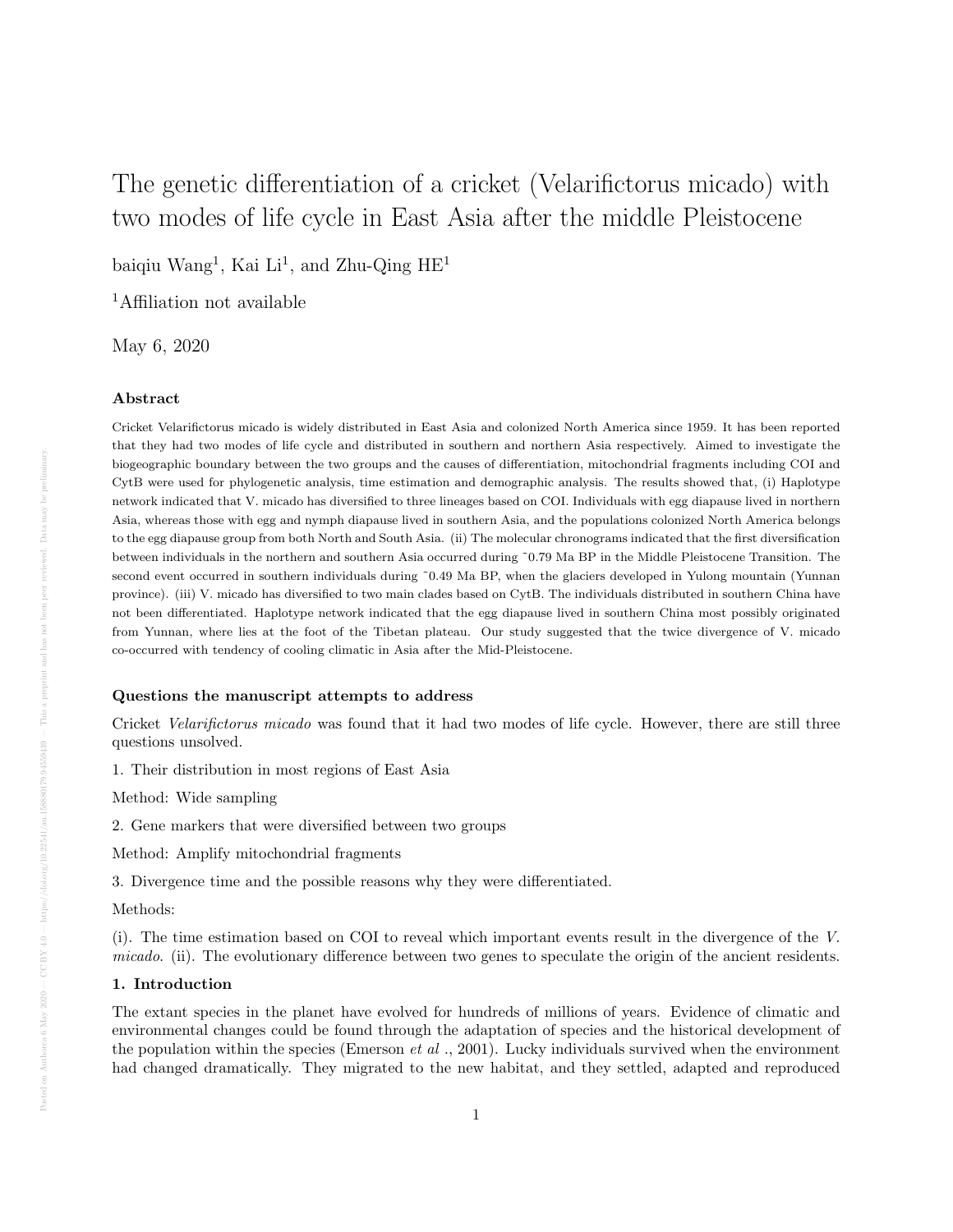# The genetic differentiation of a cricket (Velarifictorus micado) with two modes of life cycle in East Asia after the middle Pleistocene

baiqiu Wang<sup>1</sup>, Kai Li<sup>1</sup>, and Zhu-Qing HE<sup>1</sup>

<sup>1</sup>Affiliation not available

May 6, 2020

### Abstract

Cricket Velarifictorus micado is widely distributed in East Asia and colonized North America since 1959. It has been reported that they had two modes of life cycle and distributed in southern and northern Asia respectively. Aimed to investigate the biogeographic boundary between the two groups and the causes of differentiation, mitochondrial fragments including COI and CytB were used for phylogenetic analysis, time estimation and demographic analysis. The results showed that, (i) Haplotype network indicated that V. micado has diversified to three lineages based on COI. Individuals with egg diapause lived in northern Asia, whereas those with egg and nymph diapause lived in southern Asia, and the populations colonized North America belongs to the egg diapause group from both North and South Asia. (ii) The molecular chronograms indicated that the first diversification between individuals in the northern and southern Asia occurred during ˜0.79 Ma BP in the Middle Pleistocene Transition. The second event occurred in southern individuals during ~0.49 Ma BP, when the glaciers developed in Yulong mountain (Yunnan province). (iii) V. micado has diversified to two main clades based on CytB. The individuals distributed in southern China have not been differentiated. Haplotype network indicated that the egg diapause lived in southern China most possibly originated from Yunnan, where lies at the foot of the Tibetan plateau. Our study suggested that the twice divergence of V. micado co-occurred with tendency of cooling climatic in Asia after the Mid-Pleistocene.

# Questions the manuscript attempts to address

Cricket *Velarifictorus micado* was found that it had two modes of life cycle. However, there are still three questions unsolved.

1. Their distribution in most regions of East Asia

Method: Wide sampling

2. Gene markers that were diversified between two groups

Method: Amplify mitochondrial fragments

3. Divergence time and the possible reasons why they were differentiated.

Methods:

(i). The time estimation based on COI to reveal which important events result in the divergence of the V. micado. (ii). The evolutionary difference between two genes to speculate the origin of the ancient residents.

#### 1. Introduction

The extant species in the planet have evolved for hundreds of millions of years. Evidence of climatic and environmental changes could be found through the adaptation of species and the historical development of the population within the species (Emerson *et al* ., 2001). Lucky individuals survived when the environment had changed dramatically. They migrated to the new habitat, and they settled, adapted and reproduced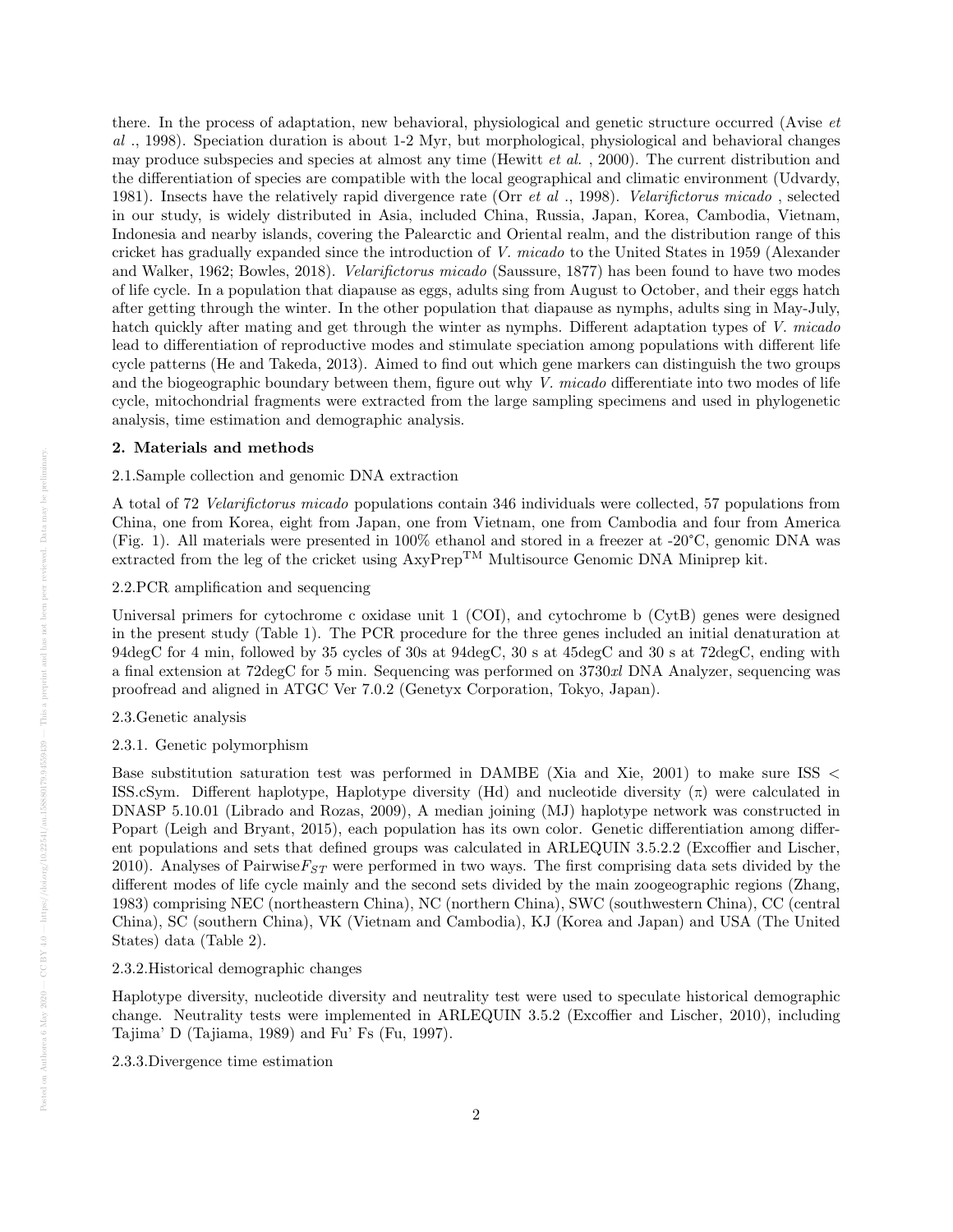there. In the process of adaptation, new behavioral, physiological and genetic structure occurred (Avise et al ., 1998). Speciation duration is about 1-2 Myr, but morphological, physiological and behavioral changes may produce subspecies and species at almost any time (Hewitt *et al.*, 2000). The current distribution and the differentiation of species are compatible with the local geographical and climatic environment (Udvardy, 1981). Insects have the relatively rapid divergence rate (Orr et al ., 1998). Velarifictorus micado , selected in our study, is widely distributed in Asia, included China, Russia, Japan, Korea, Cambodia, Vietnam, Indonesia and nearby islands, covering the Palearctic and Oriental realm, and the distribution range of this cricket has gradually expanded since the introduction of V. micado to the United States in 1959 (Alexander and Walker, 1962; Bowles, 2018). Velarifictorus micado (Saussure, 1877) has been found to have two modes of life cycle. In a population that diapause as eggs, adults sing from August to October, and their eggs hatch after getting through the winter. In the other population that diapause as nymphs, adults sing in May-July, hatch quickly after mating and get through the winter as nymphs. Different adaptation types of V. micado lead to differentiation of reproductive modes and stimulate speciation among populations with different life cycle patterns (He and Takeda, 2013). Aimed to find out which gene markers can distinguish the two groups and the biogeographic boundary between them, figure out why  $V$ . micado differentiate into two modes of life cycle, mitochondrial fragments were extracted from the large sampling specimens and used in phylogenetic analysis, time estimation and demographic analysis.

#### 2. Materials and methods

#### 2.1.Sample collection and genomic DNA extraction

A total of 72 Velarifictorus micado populations contain 346 individuals were collected, 57 populations from China, one from Korea, eight from Japan, one from Vietnam, one from Cambodia and four from America (Fig. 1). All materials were presented in 100% ethanol and stored in a freezer at -20°C, genomic DNA was extracted from the leg of the cricket using  $Axy$ Prep<sup>TM</sup> Multisource Genomic DNA Miniprep kit.

## 2.2.PCR amplification and sequencing

Universal primers for cytochrome c oxidase unit 1 (COI), and cytochrome b (CytB) genes were designed in the present study (Table 1). The PCR procedure for the three genes included an initial denaturation at 94degC for 4 min, followed by 35 cycles of 30s at 94degC, 30 s at 45degC and 30 s at 72degC, ending with a final extension at 72degC for 5 min. Sequencing was performed on 3730xl DNA Analyzer, sequencing was proofread and aligned in ATGC Ver 7.0.2 (Genetyx Corporation, Tokyo, Japan).

#### 2.3.Genetic analysis

## 2.3.1. Genetic polymorphism

Base substitution saturation test was performed in DAMBE (Xia and Xie, 2001) to make sure ISS < ISS.cSym. Different haplotype, Haplotype diversity (Hd) and nucleotide diversity  $(\pi)$  were calculated in DNASP 5.10.01 (Librado and Rozas, 2009), A median joining (MJ) haplotype network was constructed in Popart (Leigh and Bryant, 2015), each population has its own color. Genetic differentiation among different populations and sets that defined groups was calculated in ARLEQUIN 3.5.2.2 (Excoffier and Lischer, 2010). Analyses of Pairwise $F_{ST}$  were performed in two ways. The first comprising data sets divided by the different modes of life cycle mainly and the second sets divided by the main zoogeographic regions (Zhang, 1983) comprising NEC (northeastern China), NC (northern China), SWC (southwestern China), CC (central China), SC (southern China), VK (Vietnam and Cambodia), KJ (Korea and Japan) and USA (The United States) data (Table 2).

#### 2.3.2.Historical demographic changes

Haplotype diversity, nucleotide diversity and neutrality test were used to speculate historical demographic change. Neutrality tests were implemented in ARLEQUIN 3.5.2 (Excoffier and Lischer, 2010), including Tajima' D (Tajiama, 1989) and Fu' Fs (Fu, 1997).

2.3.3.Divergence time estimation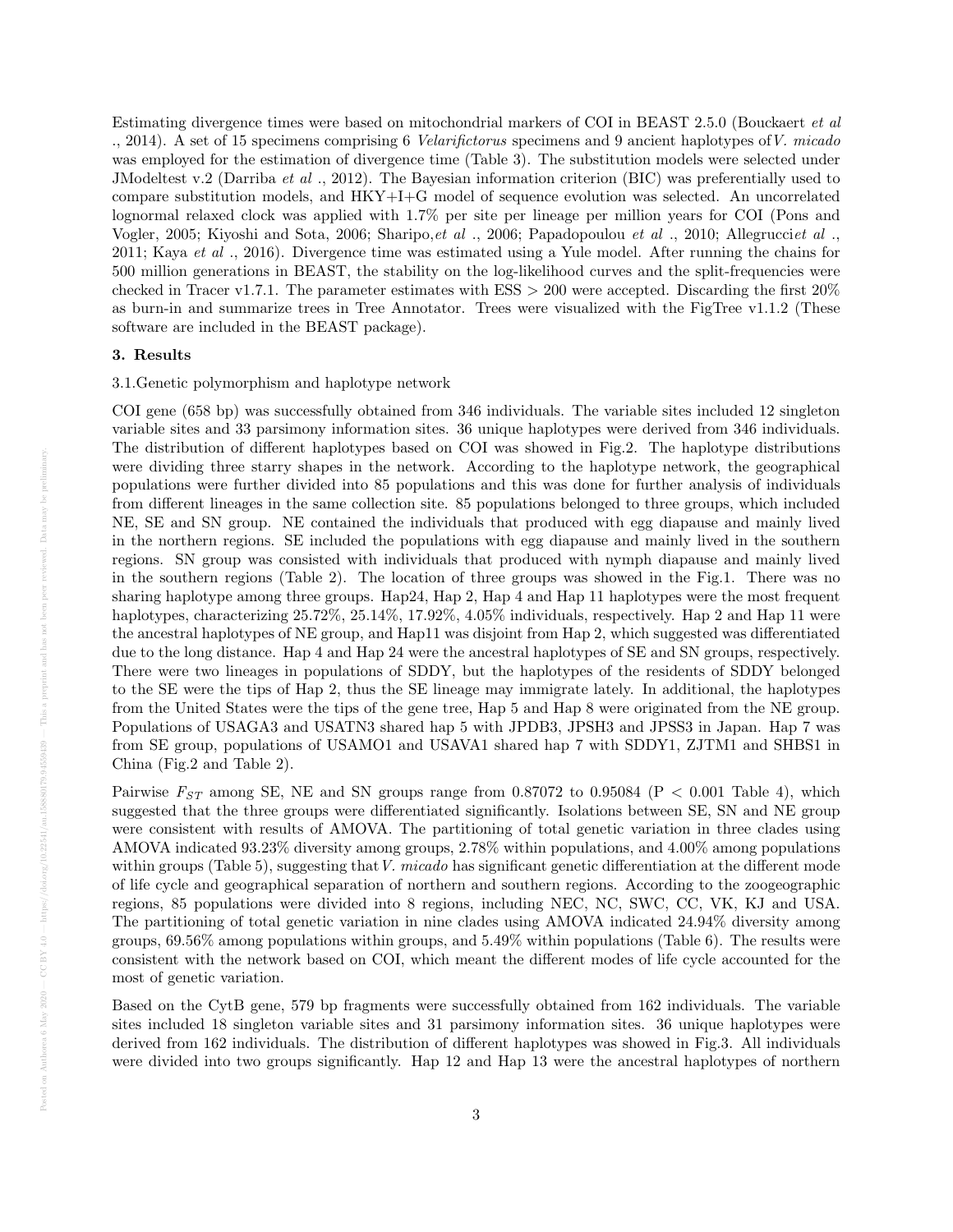Estimating divergence times were based on mitochondrial markers of COI in BEAST 2.5.0 (Bouckaert et al ., 2014). A set of 15 specimens comprising 6 Velarifictorus specimens and 9 ancient haplotypes ofV. micado was employed for the estimation of divergence time (Table 3). The substitution models were selected under JModeltest v.2 (Darriba et al ., 2012). The Bayesian information criterion (BIC) was preferentially used to compare substitution models, and HKY+I+G model of sequence evolution was selected. An uncorrelated lognormal relaxed clock was applied with 1.7% per site per lineage per million years for COI (Pons and Vogler, 2005; Kiyoshi and Sota, 2006; Sharipo, et al., 2006; Papadopoulou et al., 2010; Allegrucciet al., 2011; Kaya et al., 2016). Divergence time was estimated using a Yule model. After running the chains for 500 million generations in BEAST, the stability on the log-likelihood curves and the split-frequencies were checked in Tracer v1.7.1. The parameter estimates with ESS > 200 were accepted. Discarding the first 20% as burn-in and summarize trees in Tree Annotator. Trees were visualized with the FigTree v1.1.2 (These software are included in the BEAST package).

#### 3. Results

# 3.1.Genetic polymorphism and haplotype network

COI gene (658 bp) was successfully obtained from 346 individuals. The variable sites included 12 singleton variable sites and 33 parsimony information sites. 36 unique haplotypes were derived from 346 individuals. The distribution of different haplotypes based on COI was showed in Fig.2. The haplotype distributions were dividing three starry shapes in the network. According to the haplotype network, the geographical populations were further divided into 85 populations and this was done for further analysis of individuals from different lineages in the same collection site. 85 populations belonged to three groups, which included NE, SE and SN group. NE contained the individuals that produced with egg diapause and mainly lived in the northern regions. SE included the populations with egg diapause and mainly lived in the southern regions. SN group was consisted with individuals that produced with nymph diapause and mainly lived in the southern regions (Table 2). The location of three groups was showed in the Fig.1. There was no sharing haplotype among three groups. Hap24, Hap 2, Hap 4 and Hap 11 haplotypes were the most frequent haplotypes, characterizing  $25.72\%$ ,  $25.14\%$ ,  $17.92\%$ ,  $4.05\%$  individuals, respectively. Hap 2 and Hap 11 were the ancestral haplotypes of NE group, and Hap11 was disjoint from Hap 2, which suggested was differentiated due to the long distance. Hap 4 and Hap 24 were the ancestral haplotypes of SE and SN groups, respectively. There were two lineages in populations of SDDY, but the haplotypes of the residents of SDDY belonged to the SE were the tips of Hap 2, thus the SE lineage may immigrate lately. In additional, the haplotypes from the United States were the tips of the gene tree, Hap 5 and Hap 8 were originated from the NE group. Populations of USAGA3 and USATN3 shared hap 5 with JPDB3, JPSH3 and JPSS3 in Japan. Hap 7 was from SE group, populations of USAMO1 and USAVA1 shared hap 7 with SDDY1, ZJTM1 and SHBS1 in China (Fig.2 and Table 2).

Pairwise  $F_{ST}$  among SE, NE and SN groups range from 0.87072 to 0.95084 (P < 0.001 Table 4), which suggested that the three groups were differentiated significantly. Isolations between SE, SN and NE group were consistent with results of AMOVA. The partitioning of total genetic variation in three clades using AMOVA indicated 93.23% diversity among groups, 2.78% within populations, and 4.00% among populations within groups (Table 5), suggesting that V. micado has significant genetic differentiation at the different mode of life cycle and geographical separation of northern and southern regions. According to the zoogeographic regions, 85 populations were divided into 8 regions, including NEC, NC, SWC, CC, VK, KJ and USA. The partitioning of total genetic variation in nine clades using AMOVA indicated 24.94% diversity among groups, 69.56% among populations within groups, and 5.49% within populations (Table 6). The results were consistent with the network based on COI, which meant the different modes of life cycle accounted for the most of genetic variation.

Based on the CytB gene, 579 bp fragments were successfully obtained from 162 individuals. The variable sites included 18 singleton variable sites and 31 parsimony information sites. 36 unique haplotypes were derived from 162 individuals. The distribution of different haplotypes was showed in Fig.3. All individuals were divided into two groups significantly. Hap 12 and Hap 13 were the ancestral haplotypes of northern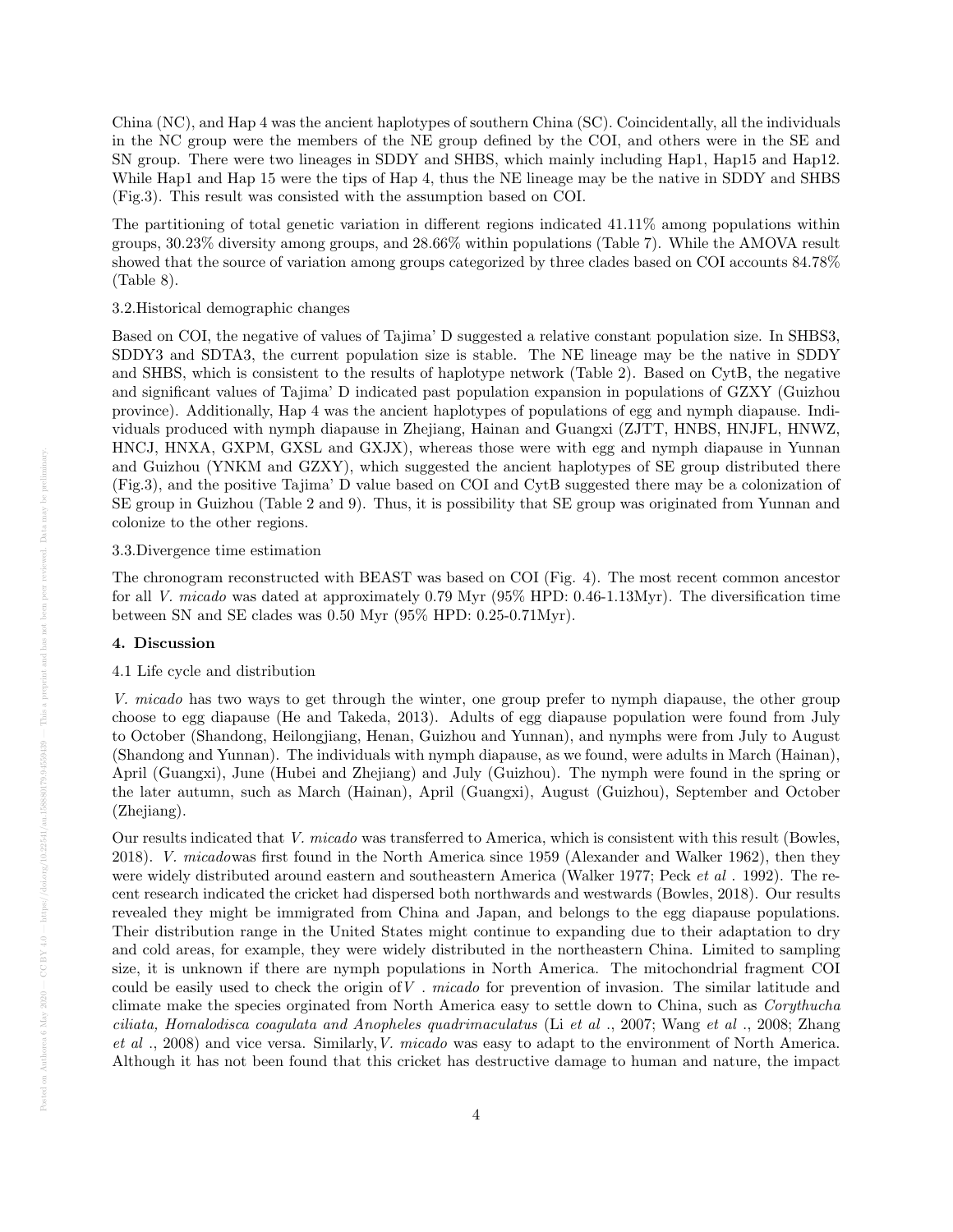China (NC), and Hap 4 was the ancient haplotypes of southern China (SC). Coincidentally, all the individuals in the NC group were the members of the NE group defined by the COI, and others were in the SE and SN group. There were two lineages in SDDY and SHBS, which mainly including Hap1, Hap15 and Hap12. While Hap1 and Hap 15 were the tips of Hap 4, thus the NE lineage may be the native in SDDY and SHBS (Fig.3). This result was consisted with the assumption based on COI.

The partitioning of total genetic variation in different regions indicated 41.11% among populations within groups, 30.23% diversity among groups, and 28.66% within populations (Table 7). While the AMOVA result showed that the source of variation among groups categorized by three clades based on COI accounts 84.78% (Table 8).

#### 3.2.Historical demographic changes

Based on COI, the negative of values of Tajima' D suggested a relative constant population size. In SHBS3, SDDY3 and SDTA3, the current population size is stable. The NE lineage may be the native in SDDY and SHBS, which is consistent to the results of haplotype network (Table 2). Based on CytB, the negative and significant values of Tajima' D indicated past population expansion in populations of GZXY (Guizhou province). Additionally, Hap 4 was the ancient haplotypes of populations of egg and nymph diapause. Individuals produced with nymph diapause in Zhejiang, Hainan and Guangxi (ZJTT, HNBS, HNJFL, HNWZ, HNCJ, HNXA, GXPM, GXSL and GXJX), whereas those were with egg and nymph diapause in Yunnan and Guizhou (YNKM and GZXY), which suggested the ancient haplotypes of SE group distributed there (Fig.3), and the positive Tajima' D value based on COI and CytB suggested there may be a colonization of SE group in Guizhou (Table 2 and 9). Thus, it is possibility that SE group was originated from Yunnan and colonize to the other regions.

#### 3.3.Divergence time estimation

The chronogram reconstructed with BEAST was based on COI (Fig. 4). The most recent common ancestor for all V. micado was dated at approximately 0.79 Myr (95% HPD: 0.46-1.13Myr). The diversification time between SN and SE clades was 0.50 Myr (95% HPD: 0.25-0.71Myr).

#### 4. Discussion

#### 4.1 Life cycle and distribution

V. micado has two ways to get through the winter, one group prefer to nymph diapause, the other group choose to egg diapause (He and Takeda, 2013). Adults of egg diapause population were found from July to October (Shandong, Heilongjiang, Henan, Guizhou and Yunnan), and nymphs were from July to August (Shandong and Yunnan). The individuals with nymph diapause, as we found, were adults in March (Hainan), April (Guangxi), June (Hubei and Zhejiang) and July (Guizhou). The nymph were found in the spring or the later autumn, such as March (Hainan), April (Guangxi), August (Guizhou), September and October (Zhejiang).

Our results indicated that V. micado was transferred to America, which is consistent with this result (Bowles, 2018). V. micadowas first found in the North America since 1959 (Alexander and Walker 1962), then they were widely distributed around eastern and southeastern America (Walker 1977; Peck *et al*. 1992). The recent research indicated the cricket had dispersed both northwards and westwards (Bowles, 2018). Our results revealed they might be immigrated from China and Japan, and belongs to the egg diapause populations. Their distribution range in the United States might continue to expanding due to their adaptation to dry and cold areas, for example, they were widely distributed in the northeastern China. Limited to sampling size, it is unknown if there are nymph populations in North America. The mitochondrial fragment COI could be easily used to check the origin of  $V$ . *micado* for prevention of invasion. The similar latitude and climate make the species orginated from North America easy to settle down to China, such as Corythucha ciliata, Homalodisca coagulata and Anopheles quadrimaculatus (Li et al ., 2007; Wang et al ., 2008; Zhang et al ., 2008) and vice versa. Similarly,V. micado was easy to adapt to the environment of North America. Although it has not been found that this cricket has destructive damage to human and nature, the impact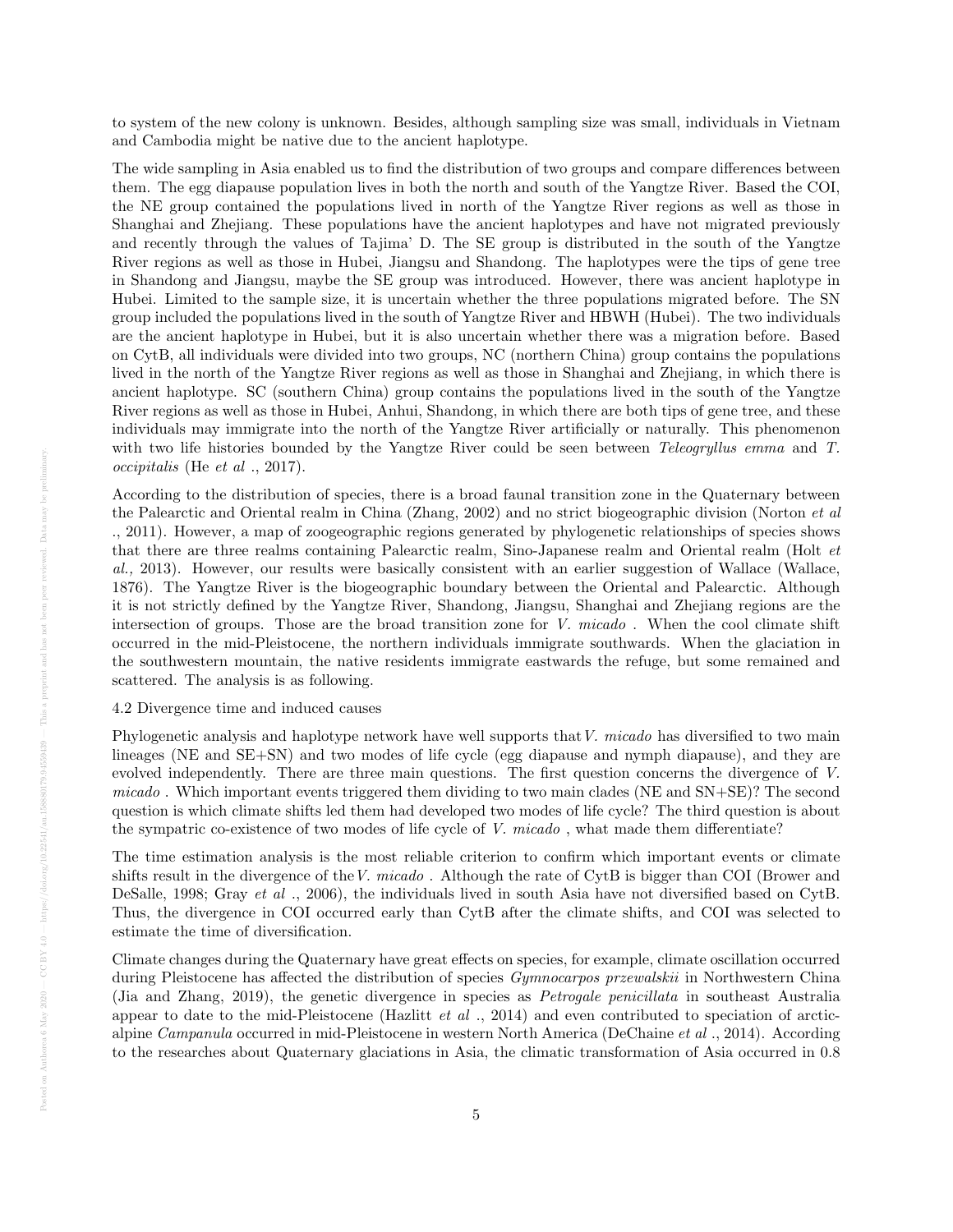to system of the new colony is unknown. Besides, although sampling size was small, individuals in Vietnam and Cambodia might be native due to the ancient haplotype.

The wide sampling in Asia enabled us to find the distribution of two groups and compare differences between them. The egg diapause population lives in both the north and south of the Yangtze River. Based the COI, the NE group contained the populations lived in north of the Yangtze River regions as well as those in Shanghai and Zhejiang. These populations have the ancient haplotypes and have not migrated previously and recently through the values of Tajima' D. The SE group is distributed in the south of the Yangtze River regions as well as those in Hubei, Jiangsu and Shandong. The haplotypes were the tips of gene tree in Shandong and Jiangsu, maybe the SE group was introduced. However, there was ancient haplotype in Hubei. Limited to the sample size, it is uncertain whether the three populations migrated before. The SN group included the populations lived in the south of Yangtze River and HBWH (Hubei). The two individuals are the ancient haplotype in Hubei, but it is also uncertain whether there was a migration before. Based on CytB, all individuals were divided into two groups, NC (northern China) group contains the populations lived in the north of the Yangtze River regions as well as those in Shanghai and Zhejiang, in which there is ancient haplotype. SC (southern China) group contains the populations lived in the south of the Yangtze River regions as well as those in Hubei, Anhui, Shandong, in which there are both tips of gene tree, and these individuals may immigrate into the north of the Yangtze River artificially or naturally. This phenomenon with two life histories bounded by the Yangtze River could be seen between *Teleogryllus emma* and T. occipitalis (He et al ., 2017).

According to the distribution of species, there is a broad faunal transition zone in the Quaternary between the Palearctic and Oriental realm in China (Zhang, 2002) and no strict biogeographic division (Norton et al ., 2011). However, a map of zoogeographic regions generated by phylogenetic relationships of species shows that there are three realms containing Palearctic realm, Sino-Japanese realm and Oriental realm (Holt et al., 2013). However, our results were basically consistent with an earlier suggestion of Wallace (Wallace, 1876). The Yangtze River is the biogeographic boundary between the Oriental and Palearctic. Although it is not strictly defined by the Yangtze River, Shandong, Jiangsu, Shanghai and Zhejiang regions are the intersection of groups. Those are the broad transition zone for V. micado. When the cool climate shift occurred in the mid-Pleistocene, the northern individuals immigrate southwards. When the glaciation in the southwestern mountain, the native residents immigrate eastwards the refuge, but some remained and scattered. The analysis is as following.

# 4.2 Divergence time and induced causes

Phylogenetic analysis and haplotype network have well supports that V. micado has diversified to two main lineages (NE and SE+SN) and two modes of life cycle (egg diapause and nymph diapause), and they are evolved independently. There are three main questions. The first question concerns the divergence of V. micado . Which important events triggered them dividing to two main clades (NE and SN+SE)? The second question is which climate shifts led them had developed two modes of life cycle? The third question is about the sympatric co-existence of two modes of life cycle of V. micado , what made them differentiate?

The time estimation analysis is the most reliable criterion to confirm which important events or climate shifts result in the divergence of the V. micado. Although the rate of CytB is bigger than COI (Brower and DeSalle, 1998; Gray et al ., 2006), the individuals lived in south Asia have not diversified based on CytB. Thus, the divergence in COI occurred early than CytB after the climate shifts, and COI was selected to estimate the time of diversification.

Climate changes during the Quaternary have great effects on species, for example, climate oscillation occurred during Pleistocene has affected the distribution of species Gymnocarpos przewalskii in Northwestern China (Jia and Zhang, 2019), the genetic divergence in species as Petrogale penicillata in southeast Australia appear to date to the mid-Pleistocene (Hazlitt et al., 2014) and even contributed to speciation of arcticalpine Campanula occurred in mid-Pleistocene in western North America (DeChaine et al ., 2014). According to the researches about Quaternary glaciations in Asia, the climatic transformation of Asia occurred in 0.8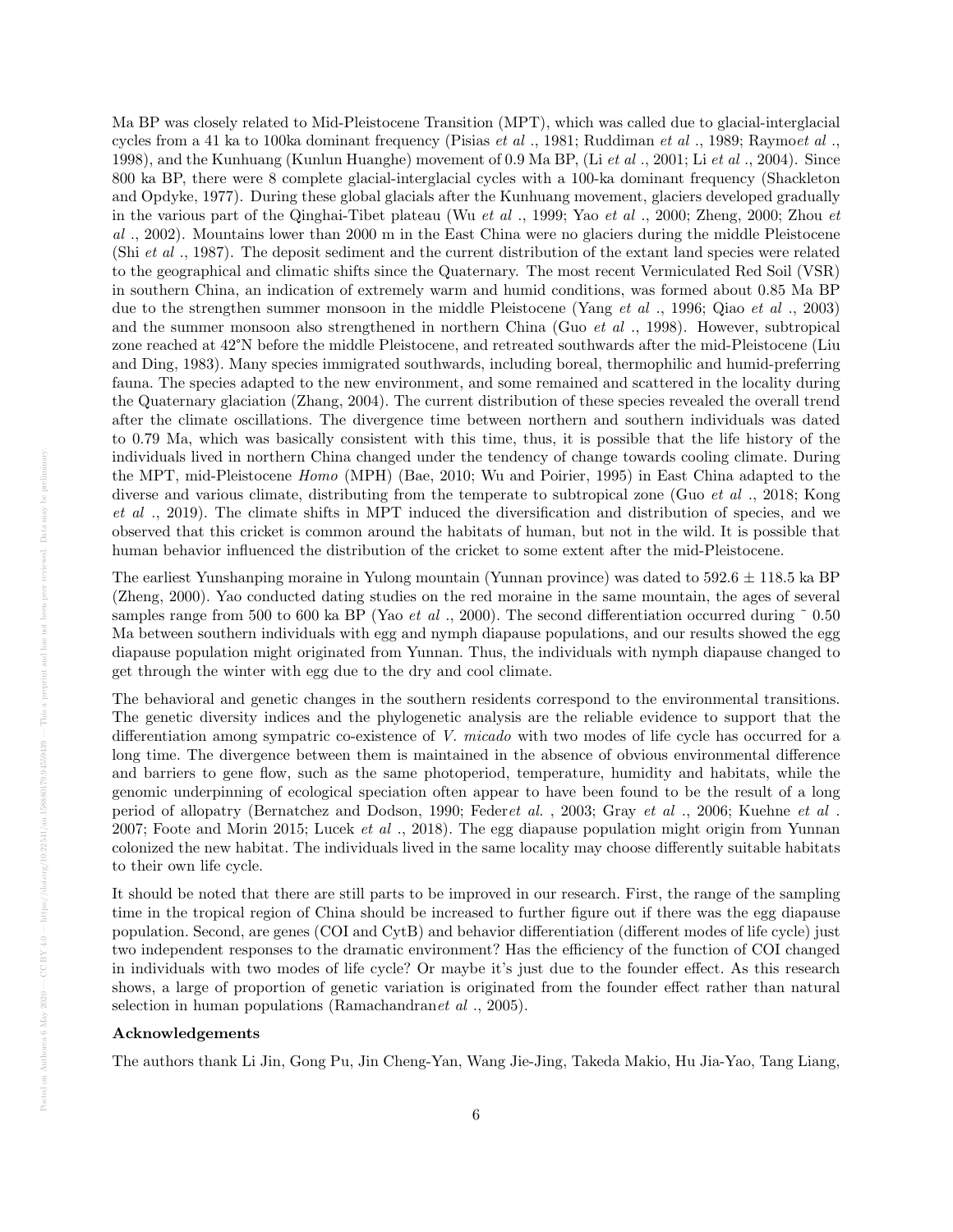Ma BP was closely related to Mid-Pleistocene Transition (MPT), which was called due to glacial-interglacial cycles from a 41 ka to 100ka dominant frequency (Pisias et al ., 1981; Ruddiman et al ., 1989; Raymoet al ., 1998), and the Kunhuang (Kunlun Huanghe) movement of 0.9 Ma BP, (Li et al ., 2001; Li et al ., 2004). Since 800 ka BP, there were 8 complete glacial-interglacial cycles with a 100-ka dominant frequency (Shackleton and Opdyke, 1977). During these global glacials after the Kunhuang movement, glaciers developed gradually in the various part of the Qinghai-Tibet plateau (Wu et al ., 1999; Yao et al ., 2000; Zheng, 2000; Zhou et al ., 2002). Mountains lower than 2000 m in the East China were no glaciers during the middle Pleistocene (Shi et al ., 1987). The deposit sediment and the current distribution of the extant land species were related to the geographical and climatic shifts since the Quaternary. The most recent Vermiculated Red Soil (VSR) in southern China, an indication of extremely warm and humid conditions, was formed about 0.85 Ma BP due to the strengthen summer monsoon in the middle Pleistocene (Yang et al., 1996; Qiao et al., 2003) and the summer monsoon also strengthened in northern China (Guo *et al* ., 1998). However, subtropical zone reached at 42°N before the middle Pleistocene, and retreated southwards after the mid-Pleistocene (Liu and Ding, 1983). Many species immigrated southwards, including boreal, thermophilic and humid-preferring fauna. The species adapted to the new environment, and some remained and scattered in the locality during the Quaternary glaciation (Zhang, 2004). The current distribution of these species revealed the overall trend after the climate oscillations. The divergence time between northern and southern individuals was dated to 0.79 Ma, which was basically consistent with this time, thus, it is possible that the life history of the individuals lived in northern China changed under the tendency of change towards cooling climate. During the MPT, mid-Pleistocene Homo (MPH) (Bae, 2010; Wu and Poirier, 1995) in East China adapted to the diverse and various climate, distributing from the temperate to subtropical zone (Guo et al ., 2018; Kong et al ., 2019). The climate shifts in MPT induced the diversification and distribution of species, and we observed that this cricket is common around the habitats of human, but not in the wild. It is possible that human behavior influenced the distribution of the cricket to some extent after the mid-Pleistocene.

The earliest Yunshanping moraine in Yulong mountain (Yunnan province) was dated to  $592.6 \pm 118.5$  ka BP (Zheng, 2000). Yao conducted dating studies on the red moraine in the same mountain, the ages of several samples range from 500 to 600 ka BP (Yao et al., 2000). The second differentiation occurred during  $\degree$  0.50 Ma between southern individuals with egg and nymph diapause populations, and our results showed the egg diapause population might originated from Yunnan. Thus, the individuals with nymph diapause changed to get through the winter with egg due to the dry and cool climate.

The behavioral and genetic changes in the southern residents correspond to the environmental transitions. The genetic diversity indices and the phylogenetic analysis are the reliable evidence to support that the differentiation among sympatric co-existence of V. micado with two modes of life cycle has occurred for a long time. The divergence between them is maintained in the absence of obvious environmental difference and barriers to gene flow, such as the same photoperiod, temperature, humidity and habitats, while the genomic underpinning of ecological speciation often appear to have been found to be the result of a long period of allopatry (Bernatchez and Dodson, 1990; Federet al. , 2003; Gray et al ., 2006; Kuehne et al . 2007; Foote and Morin 2015; Lucek et al., 2018). The egg diapause population might origin from Yunnan colonized the new habitat. The individuals lived in the same locality may choose differently suitable habitats to their own life cycle.

It should be noted that there are still parts to be improved in our research. First, the range of the sampling time in the tropical region of China should be increased to further figure out if there was the egg diapause population. Second, are genes (COI and CytB) and behavior differentiation (different modes of life cycle) just two independent responses to the dramatic environment? Has the efficiency of the function of COI changed in individuals with two modes of life cycle? Or maybe it's just due to the founder effect. As this research shows, a large of proportion of genetic variation is originated from the founder effect rather than natural selection in human populations (Ramachandranet al ., 2005).

#### Acknowledgements

The authors thank Li Jin, Gong Pu, Jin Cheng-Yan, Wang Jie-Jing, Takeda Makio, Hu Jia-Yao, Tang Liang,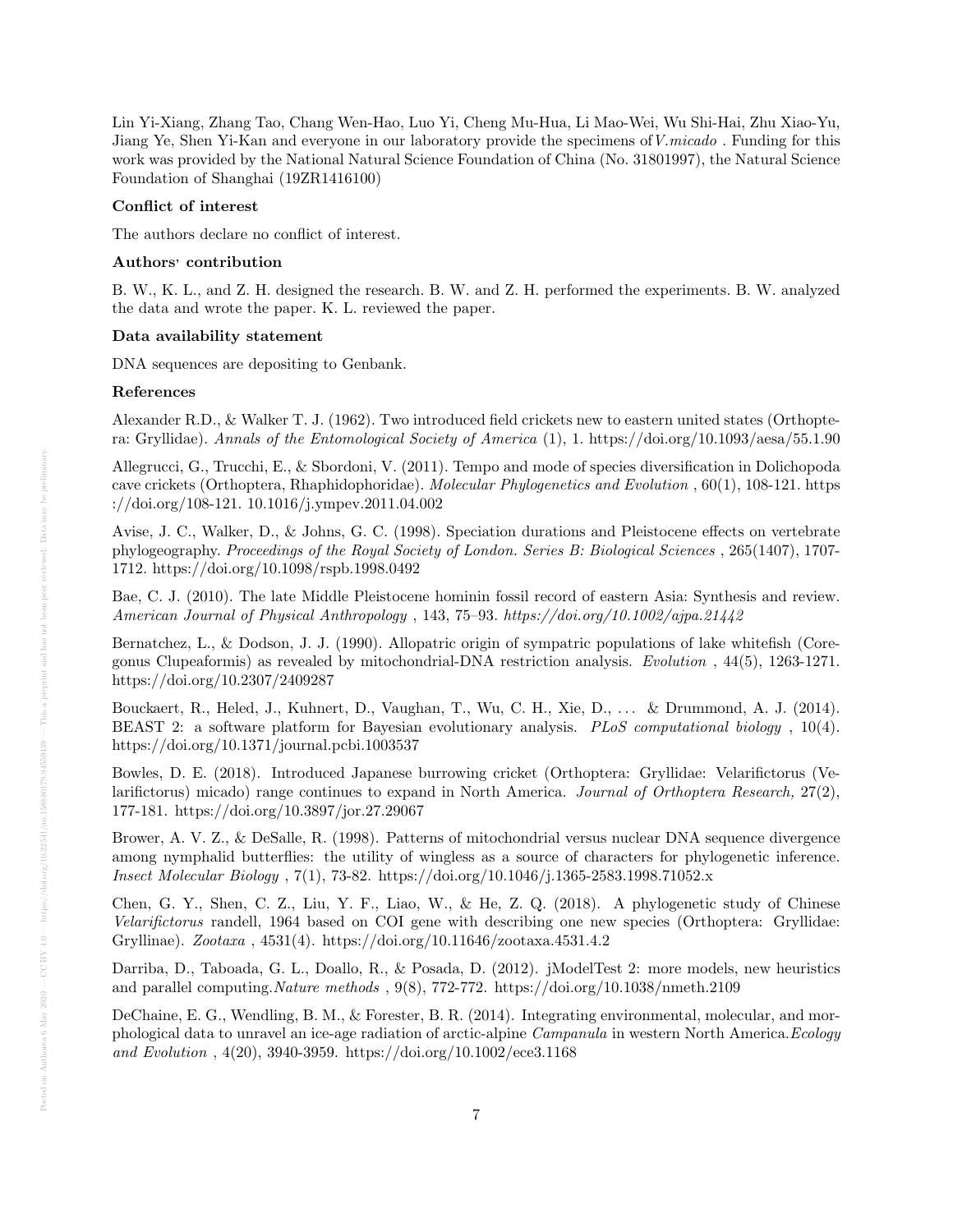Lin Yi-Xiang, Zhang Tao, Chang Wen-Hao, Luo Yi, Cheng Mu-Hua, Li Mao-Wei, Wu Shi-Hai, Zhu Xiao-Yu, Jiang Ye, Shen Yi-Kan and everyone in our laboratory provide the specimens ofV.micado . Funding for this work was provided by the National Natural Science Foundation of China (No. 31801997), the Natural Science Foundation of Shanghai (19ZR1416100)

### Conflict of interest

The authors declare no conflict of interest.

#### Authors' contribution

B. W., K. L., and Z. H. designed the research. B. W. and Z. H. performed the experiments. B. W. analyzed the data and wrote the paper. K. L. reviewed the paper.

## Data availability statement

DNA sequences are depositing to Genbank.

#### References

Alexander R.D., & Walker T. J. (1962). Two introduced field crickets new to eastern united states (Orthoptera: Gryllidae). Annals of the Entomological Society of America (1), 1. https://doi.org/10.1093/aesa/55.1.90

Allegrucci, G., Trucchi, E., & Sbordoni, V. (2011). Tempo and mode of species diversification in Dolichopoda cave crickets (Orthoptera, Rhaphidophoridae). Molecular Phylogenetics and Evolution , 60(1), 108-121. https ://doi.org/108-121. 10.1016/j.ympev.2011.04.002

Avise, J. C., Walker, D., & Johns, G. C. (1998). Speciation durations and Pleistocene effects on vertebrate phylogeography. Proceedings of the Royal Society of London. Series B: Biological Sciences , 265(1407), 1707- 1712. https://doi.org/10.1098/rspb.1998.0492

Bae, C. J. (2010). The late Middle Pleistocene hominin fossil record of eastern Asia: Synthesis and review. American Journal of Physical Anthropology , 143, 75–93. https://doi.org/10.1002/ajpa.21442

Bernatchez, L., & Dodson, J. J. (1990). Allopatric origin of sympatric populations of lake whitefish (Coregonus Clupeaformis) as revealed by mitochondrial-DNA restriction analysis. Evolution , 44(5), 1263-1271. https://doi.org/10.2307/2409287

Bouckaert, R., Heled, J., Kuhnert, D., Vaughan, T., Wu, C. H., Xie, D., . . . & Drummond, A. J. (2014). BEAST 2: a software platform for Bayesian evolutionary analysis. PLoS computational biology, 10(4). https://doi.org/10.1371/journal.pcbi.1003537

Bowles, D. E. (2018). Introduced Japanese burrowing cricket (Orthoptera: Gryllidae: Velarifictorus (Velarifictorus) micado) range continues to expand in North America. Journal of Orthoptera Research, 27(2), 177-181. https://doi.org/10.3897/jor.27.29067

Brower, A. V. Z., & DeSalle, R. (1998). Patterns of mitochondrial versus nuclear DNA sequence divergence among nymphalid butterflies: the utility of wingless as a source of characters for phylogenetic inference. Insect Molecular Biology , 7(1), 73-82. https://doi.org/10.1046/j.1365-2583.1998.71052.x

Chen, G. Y., Shen, C. Z., Liu, Y. F., Liao, W., & He, Z. Q. (2018). A phylogenetic study of Chinese Velarifictorus randell, 1964 based on COI gene with describing one new species (Orthoptera: Gryllidae: Gryllinae). Zootaxa , 4531(4). https://doi.org/10.11646/zootaxa.4531.4.2

Darriba, D., Taboada, G. L., Doallo, R., & Posada, D. (2012). jModelTest 2: more models, new heuristics and parallel computing.Nature methods , 9(8), 772-772. https://doi.org/10.1038/nmeth.2109

DeChaine, E. G., Wendling, B. M., & Forester, B. R. (2014). Integrating environmental, molecular, and morphological data to unravel an ice-age radiation of arctic-alpine Campanula in western North America.Ecology and Evolution , 4(20), 3940-3959. https://doi.org/10.1002/ece3.1168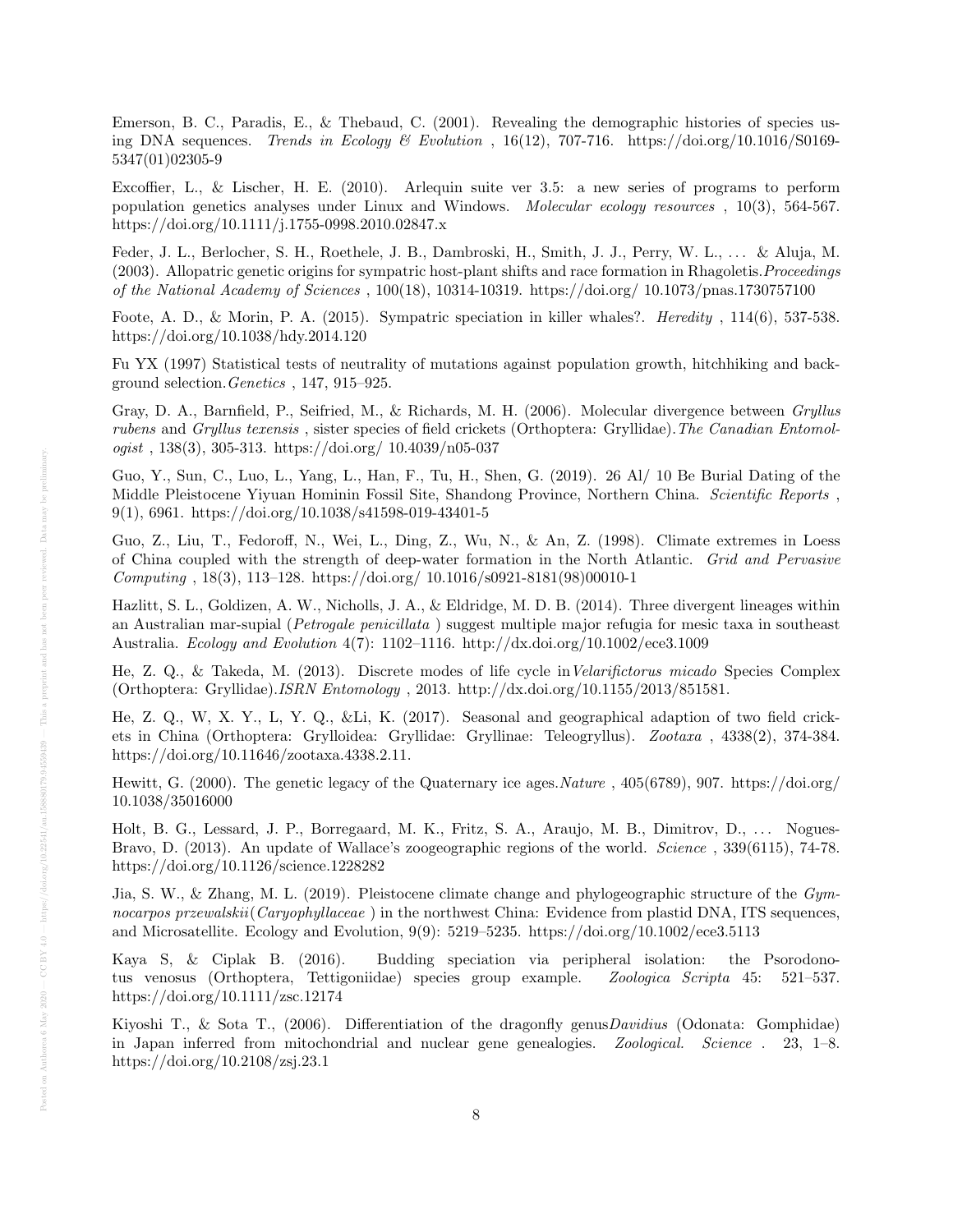Emerson, B. C., Paradis, E., & Thebaud, C. (2001). Revealing the demographic histories of species using DNA sequences. Trends in Ecology & Evolution, 16(12), 707-716. https://doi.org/10.1016/S0169-5347(01)02305-9

Excoffier, L., & Lischer, H. E. (2010). Arlequin suite ver 3.5: a new series of programs to perform population genetics analyses under Linux and Windows. Molecular ecology resources , 10(3), 564-567. https://doi.org/10.1111/j.1755-0998.2010.02847.x

Feder, J. L., Berlocher, S. H., Roethele, J. B., Dambroski, H., Smith, J. J., Perry, W. L., . . . & Aluja, M. (2003). Allopatric genetic origins for sympatric host-plant shifts and race formation in Rhagoletis.Proceedings of the National Academy of Sciences , 100(18), 10314-10319. https://doi.org/ 10.1073/pnas.1730757100

Foote, A. D., & Morin, P. A. (2015). Sympatric speciation in killer whales?. Heredity , 114(6), 537-538. https://doi.org/10.1038/hdy.2014.120

Fu YX (1997) Statistical tests of neutrality of mutations against population growth, hitchhiking and background selection.Genetics , 147, 915–925.

Gray, D. A., Barnfield, P., Seifried, M., & Richards, M. H. (2006). Molecular divergence between Gryllus rubens and Gryllus texensis , sister species of field crickets (Orthoptera: Gryllidae).The Canadian Entomol $ogist$ , 138(3), 305-313. https://doi.org/ 10.4039/n05-037

Guo, Y., Sun, C., Luo, L., Yang, L., Han, F., Tu, H., Shen, G. (2019). 26 Al/ 10 Be Burial Dating of the Middle Pleistocene Yiyuan Hominin Fossil Site, Shandong Province, Northern China. Scientific Reports , 9(1), 6961. https://doi.org/10.1038/s41598-019-43401-5

Guo, Z., Liu, T., Fedoroff, N., Wei, L., Ding, Z., Wu, N., & An, Z. (1998). Climate extremes in Loess of China coupled with the strength of deep-water formation in the North Atlantic. Grid and Pervasive Computing , 18(3), 113–128. https://doi.org/ 10.1016/s0921-8181(98)00010-1

Hazlitt, S. L., Goldizen, A. W., Nicholls, J. A., & Eldridge, M. D. B. (2014). Three divergent lineages within an Australian mar-supial (Petrogale penicillata ) suggest multiple major refugia for mesic taxa in southeast Australia. Ecology and Evolution 4(7): 1102–1116. http://dx.doi.org/10.1002/ece3.1009

He, Z. Q., & Takeda, M. (2013). Discrete modes of life cycle inVelarifictorus micado Species Complex (Orthoptera: Gryllidae).ISRN Entomology , 2013. http://dx.doi.org/10.1155/2013/851581.

He, Z. Q., W, X. Y., L, Y. Q., &Li, K. (2017). Seasonal and geographical adaption of two field crickets in China (Orthoptera: Grylloidea: Gryllidae: Gryllinae: Teleogryllus). Zootaxa , 4338(2), 374-384. https://doi.org/10.11646/zootaxa.4338.2.11.

Hewitt, G. (2000). The genetic legacy of the Quaternary ice ages.Nature , 405(6789), 907. https://doi.org/ 10.1038/35016000

Holt, B. G., Lessard, J. P., Borregaard, M. K., Fritz, S. A., Araujo, M. B., Dimitrov, D., . . . Nogues-Bravo, D. (2013). An update of Wallace's zoogeographic regions of the world. Science , 339(6115), 74-78. https://doi.org/10.1126/science.1228282

Jia, S. W., & Zhang, M. L. (2019). Pleistocene climate change and phylogeographic structure of the  $Gym$ nocarpos przewalskii (Caryophyllaceae) in the northwest China: Evidence from plastid DNA, ITS sequences, and Microsatellite. Ecology and Evolution, 9(9): 5219–5235. https://doi.org/10.1002/ece3.5113

Kaya S, & Ciplak B. (2016). Budding speciation via peripheral isolation: the Psorodonotus venosus (Orthoptera, Tettigoniidae) species group example. Zoologica Scripta 45: 521–537. https://doi.org/10.1111/zsc.12174

Kiyoshi T., & Sota T., (2006). Differentiation of the dragonfly genus *Davidius* (Odonata: Gomphidae) in Japan inferred from mitochondrial and nuclear gene genealogies. Zoological. Science . 23, 1–8. https://doi.org/10.2108/zsj.23.1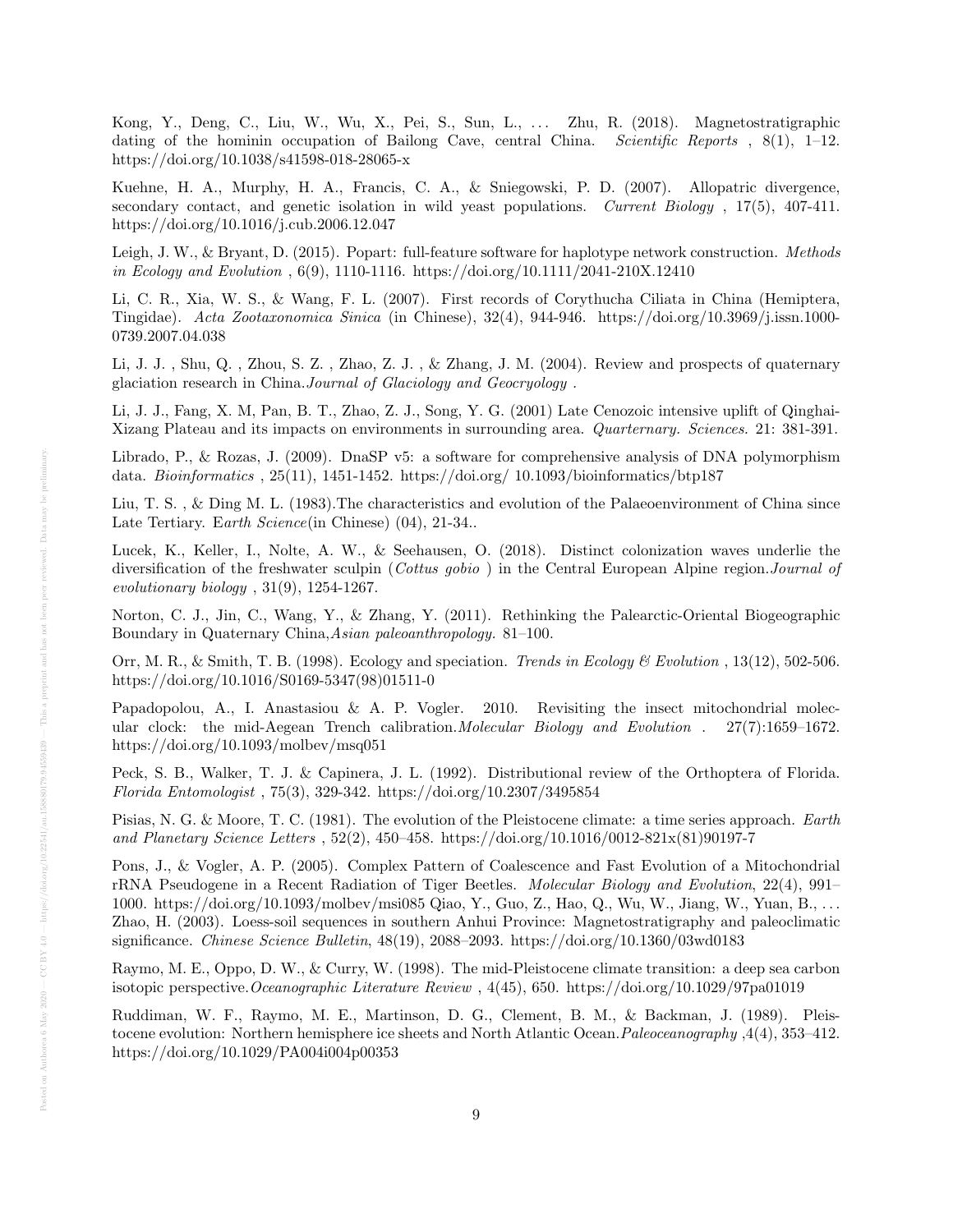Kong, Y., Deng, C., Liu, W., Wu, X., Pei, S., Sun, L., . . . Zhu, R. (2018). Magnetostratigraphic dating of the hominin occupation of Bailong Cave, central China. Scientific Reports, 8(1), 1–12. https://doi.org/10.1038/s41598-018-28065-x

Kuehne, H. A., Murphy, H. A., Francis, C. A., & Sniegowski, P. D. (2007). Allopatric divergence, secondary contact, and genetic isolation in wild yeast populations. Current Biology, 17(5), 407-411. https://doi.org/10.1016/j.cub.2006.12.047

Leigh, J. W., & Bryant, D. (2015). Popart: full-feature software for haplotype network construction. *Methods* in Ecology and Evolution , 6(9), 1110-1116. https://doi.org/10.1111/2041-210X.12410

Li, C. R., Xia, W. S., & Wang, F. L. (2007). First records of Corythucha Ciliata in China (Hemiptera, Tingidae). Acta Zootaxonomica Sinica (in Chinese), 32(4), 944-946. https://doi.org/10.3969/j.issn.1000- 0739.2007.04.038

Li, J. J. , Shu, Q. , Zhou, S. Z. , Zhao, Z. J. , & Zhang, J. M. (2004). Review and prospects of quaternary glaciation research in China.Journal of Glaciology and Geocryology .

Li, J. J., Fang, X. M, Pan, B. T., Zhao, Z. J., Song, Y. G. (2001) Late Cenozoic intensive uplift of Qinghai-Xizang Plateau and its impacts on environments in surrounding area. Quarternary. Sciences. 21: 381-391.

Librado, P., & Rozas, J. (2009). DnaSP v5: a software for comprehensive analysis of DNA polymorphism data. Bioinformatics , 25(11), 1451-1452. https://doi.org/ 10.1093/bioinformatics/btp187

Liu, T. S., & Ding M. L. (1983). The characteristics and evolution of the Palaeoenvironment of China since Late Tertiary. Earth Science(in Chinese) (04), 21-34..

Lucek, K., Keller, I., Nolte, A. W., & Seehausen, O. (2018). Distinct colonization waves underlie the diversification of the freshwater sculpin (Cottus gobio) in the Central European Alpine region. Journal of evolutionary biology , 31(9), 1254-1267.

Norton, C. J., Jin, C., Wang, Y., & Zhang, Y. (2011). Rethinking the Palearctic-Oriental Biogeographic Boundary in Quaternary China,Asian paleoanthropology. 81–100.

Orr, M. R., & Smith, T. B. (1998). Ecology and speciation. Trends in Ecology & Evolution, 13(12), 502-506. https://doi.org/10.1016/S0169-5347(98)01511-0

Papadopolou, A., I. Anastasiou & A. P. Vogler. 2010. Revisiting the insect mitochondrial molecular clock: the mid-Aegean Trench calibration.*Molecular Biology and Evolution* . 27(7):1659–1672. https://doi.org/10.1093/molbev/msq051

Peck, S. B., Walker, T. J. & Capinera, J. L. (1992). Distributional review of the Orthoptera of Florida. Florida Entomologist , 75(3), 329-342. https://doi.org/10.2307/3495854

Pisias, N. G. & Moore, T. C. (1981). The evolution of the Pleistocene climate: a time series approach. Earth and Planetary Science Letters , 52(2), 450–458. https://doi.org/10.1016/0012-821x(81)90197-7

Pons, J., & Vogler, A. P. (2005). Complex Pattern of Coalescence and Fast Evolution of a Mitochondrial rRNA Pseudogene in a Recent Radiation of Tiger Beetles. Molecular Biology and Evolution, 22(4), 991– 1000. https://doi.org/10.1093/molbev/msi085 Qiao, Y., Guo, Z., Hao, Q., Wu, W., Jiang, W., Yuan, B., . . . Zhao, H. (2003). Loess-soil sequences in southern Anhui Province: Magnetostratigraphy and paleoclimatic significance. Chinese Science Bulletin, 48(19), 2088–2093. https://doi.org/10.1360/03wd0183

Raymo, M. E., Oppo, D. W., & Curry, W. (1998). The mid-Pleistocene climate transition: a deep sea carbon isotopic perspective.Oceanographic Literature Review , 4(45), 650. https://doi.org/10.1029/97pa01019

Ruddiman, W. F., Raymo, M. E., Martinson, D. G., Clement, B. M., & Backman, J. (1989). Pleistocene evolution: Northern hemisphere ice sheets and North Atlantic Ocean. Paleoceanography ,4(4), 353–412. https://doi.org/10.1029/PA004i004p00353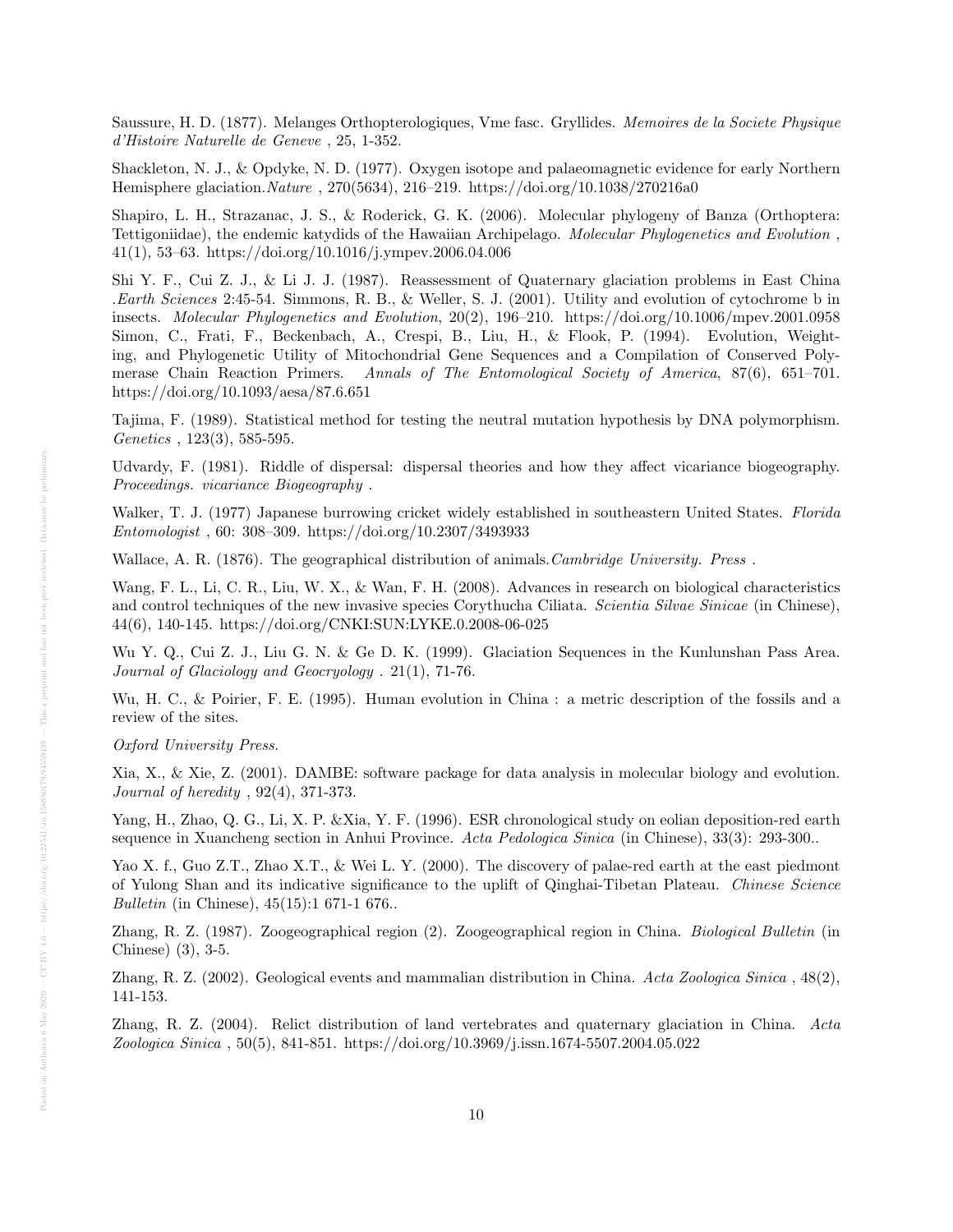Saussure, H. D. (1877). Melanges Orthopterologiques, Vme fasc. Gryllides. Memoires de la Societe Physique d'Histoire Naturelle de Geneve , 25, 1-352.

Shackleton, N. J., & Opdyke, N. D. (1977). Oxygen isotope and palaeomagnetic evidence for early Northern Hemisphere glaciation.Nature , 270(5634), 216–219. https://doi.org/10.1038/270216a0

Shapiro, L. H., Strazanac, J. S., & Roderick, G. K. (2006). Molecular phylogeny of Banza (Orthoptera: Tettigoniidae), the endemic katydids of the Hawaiian Archipelago. Molecular Phylogenetics and Evolution , 41(1), 53–63. https://doi.org/10.1016/j.ympev.2006.04.006

Shi Y. F., Cui Z. J., & Li J. J. (1987). Reassessment of Quaternary glaciation problems in East China .Earth Sciences 2:45-54. Simmons, R. B., & Weller, S. J. (2001). Utility and evolution of cytochrome b in insects. Molecular Phylogenetics and Evolution, 20(2), 196–210. https://doi.org/10.1006/mpev.2001.0958 Simon, C., Frati, F., Beckenbach, A., Crespi, B., Liu, H., & Flook, P. (1994). Evolution, Weighting, and Phylogenetic Utility of Mitochondrial Gene Sequences and a Compilation of Conserved Polymerase Chain Reaction Primers. Annals of The Entomological Society of America, 87(6), 651–701. https://doi.org/10.1093/aesa/87.6.651

Tajima, F. (1989). Statistical method for testing the neutral mutation hypothesis by DNA polymorphism. Genetics , 123(3), 585-595.

Udvardy, F. (1981). Riddle of dispersal: dispersal theories and how they affect vicariance biogeography. Proceedings. vicariance Biogeography .

Walker, T. J. (1977) Japanese burrowing cricket widely established in southeastern United States. Florida Entomologist , 60: 308–309. https://doi.org/10.2307/3493933

Wallace, A. R. (1876). The geographical distribution of animals. Cambridge University. Press.

Wang, F. L., Li, C. R., Liu, W. X., & Wan, F. H. (2008). Advances in research on biological characteristics and control techniques of the new invasive species Corythucha Ciliata. Scientia Silvae Sinicae (in Chinese), 44(6), 140-145. https://doi.org/CNKI:SUN:LYKE.0.2008-06-025

Wu Y. Q., Cui Z. J., Liu G. N. & Ge D. K. (1999). Glaciation Sequences in the Kunlunshan Pass Area. Journal of Glaciology and Geocryology . 21(1), 71-76.

Wu, H. C., & Poirier, F. E. (1995). Human evolution in China : a metric description of the fossils and a review of the sites.

Oxford University Press.

Xia, X., & Xie, Z. (2001). DAMBE: software package for data analysis in molecular biology and evolution. Journal of heredity , 92(4), 371-373.

Yang, H., Zhao, Q. G., Li, X. P. &Xia, Y. F. (1996). ESR chronological study on eolian deposition-red earth sequence in Xuancheng section in Anhui Province. Acta Pedologica Sinica (in Chinese), 33(3): 293-300..

Yao X. f., Guo Z.T., Zhao X.T., & Wei L. Y. (2000). The discovery of palae-red earth at the east piedmont of Yulong Shan and its indicative significance to the uplift of Qinghai-Tibetan Plateau. Chinese Science Bulletin (in Chinese), 45(15):1 671-1 676..

Zhang, R. Z. (1987). Zoogeographical region (2). Zoogeographical region in China. Biological Bulletin (in Chinese) (3), 3-5.

Zhang, R. Z. (2002). Geological events and mammalian distribution in China. Acta Zoologica Sinica , 48(2), 141-153.

Zhang, R. Z. (2004). Relict distribution of land vertebrates and quaternary glaciation in China. Acta Zoologica Sinica , 50(5), 841-851. https://doi.org/10.3969/j.issn.1674-5507.2004.05.022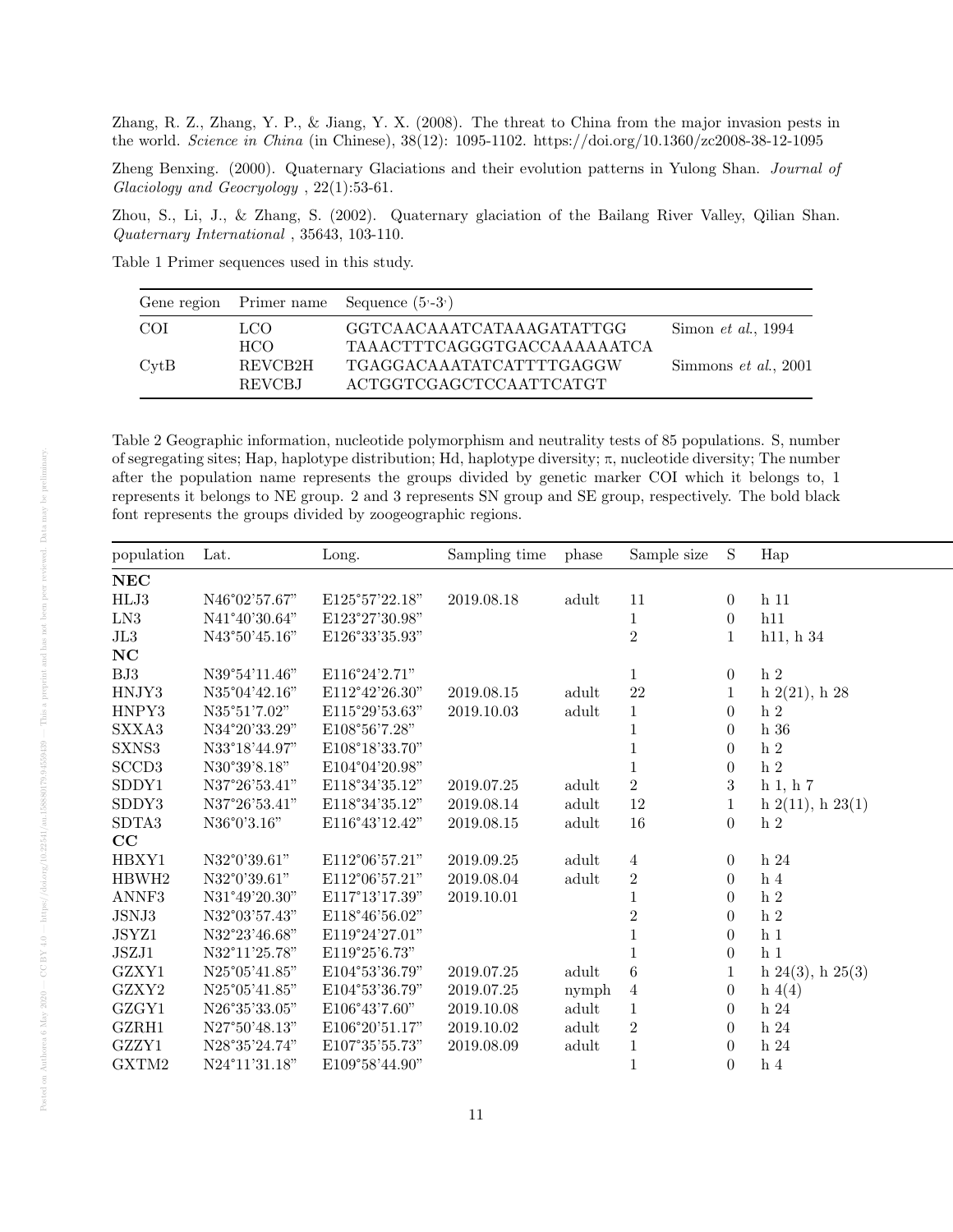Zhang, R. Z., Zhang, Y. P., & Jiang, Y. X. (2008). The threat to China from the major invasion pests in the world. Science in China (in Chinese), 38(12): 1095-1102. https://doi.org/10.1360/zc2008-38-12-1095

Zheng Benxing. (2000). Quaternary Glaciations and their evolution patterns in Yulong Shan. Journal of Glaciology and Geocryology , 22(1):53-61.

Zhou, S., Li, J., & Zhang, S. (2002). Quaternary glaciation of the Bailang River Valley, Qilian Shan. Quaternary International , 35643, 103-110.

Table 1 Primer sequences used in this study.

|                 |                   | Gene region Primer name Sequence $(5-3)$                 |                            |
|-----------------|-------------------|----------------------------------------------------------|----------------------------|
| -COI            | LCO.<br>HCO.      | GGTCAACAAATCATAAAGATATTGG<br>TAAACTTTCAGGGTGACCAAAAAATCA | Simon <i>et al.</i> , 1994 |
| $\mathrm{CvtB}$ | REVCB2H<br>REVCBJ | TGAGGACAAATATCATTTTGAGGW<br>ACTGGTCGAGCTCCAATTCATGT      | Simmons $et \ al., 2001$   |

Table 2 Geographic information, nucleotide polymorphism and neutrality tests of 85 populations. S, number of segregating sites; Hap, haplotype distribution; Hd, haplotype diversity; π, nucleotide diversity; The number after the population name represents the groups divided by genetic marker COI which it belongs to, 1 represents it belongs to NE group. 2 and 3 represents SN group and SE group, respectively. The bold black font represents the groups divided by zoogeographic regions.

| NEC<br>$\rm HLJ3$<br>N46°02'57.67"<br>E125°57'22.18"<br>2019.08.18<br>11<br>$h$ 11<br>adult<br>$\overline{0}$<br>${\rm LN3}$<br>h11<br>N41°40'30.64"<br>E123°27'30.98"<br>$\theta$<br>$\rm JL3$<br>$\overline{2}$<br>h11, h34<br>E126°33'35.93"<br>N43°50'45.16"<br>NC<br>${\rm BJ3}$<br>$\,$ h $\,2$<br>N39°54'11.46"<br>E116°24'2.71"<br>$\theta$<br>22<br>E112°42'26.30"<br>N35°04'42.16"<br>adult<br>$h\ 2(21), h\ 28$<br>2019.08.15<br>N35°51'7.02"<br>E115°29'53.63"<br>h <sub>2</sub><br>2019.10.03<br>adult<br>$\theta$<br>SXXA3<br>E108°56'7.28"<br>$h\ 36$<br>N34°20'33.29"<br>$\left($<br>${\rm SXNS3}$<br>$\,h\,$ 2<br>N33°18'44.97"<br>E108°18'33.70"<br>$\left($<br>SCCD <sub>3</sub><br>$\,$ h $2$<br>N30°39'8.18"<br>E104°04'20.98"<br>$\overline{0}$<br>$\overline{2}$<br>SDDY1<br>N37°26'53.41"<br>E118°34'35.12"<br>3<br>2019.07.25<br>adult<br>$h_1, h_7$<br>SDDY3<br>12<br>E118°34'35.12"<br>$h\ 2(11), h\ 23(1)$<br>N37°26'53.41"<br>2019.08.14<br>adult<br>SDTA3<br>$16\,$<br>E116°43'12.42"<br>adult<br>N36°0'3.16"<br>2019.08.15<br>$\overline{0}$<br>h <sub>2</sub><br>$\rm CC$<br>HBXY1<br>E112°06'57.21"<br>$\,$ h $24$<br>N32°0'39.61"<br>2019.09.25<br>adult<br>$\overline{4}$<br>$\overline{0}$<br>HBWH2<br>N32°0'39.61"<br>E112°06'57.21"<br>adult<br>$\overline{2}$<br>h <sub>4</sub><br>2019.08.04<br>$\theta$<br>ANNF3<br>$\,$ h $2$<br>E117°13'17.39"<br>N31°49'20.30"<br>2019.10.01<br>$\boldsymbol{0}$<br>JSNJ3<br>E118°46'56.02"<br>h <sub>2</sub><br>N32°03'57.43"<br>$\Omega$<br>${\rm JSYZ1}$<br>h <sub>1</sub><br>E119°24'27.01"<br>N32°23'46.68"<br>$\theta$<br>JSZJ1<br>h <sub>1</sub><br>N32°11'25.78"<br>E119°25'6.73"<br>$\overline{0}$<br>GZXY1<br>N25°05'41.85"<br>E104°53'36.79"<br>2019.07.25<br>adult<br>6<br>h $24(3)$ , h $25(3)$<br>GZXY2<br>E104°53'36.79"<br>N25°05'41.85"<br>2019.07.25<br>h(4(4)<br>$\overline{0}$<br>nymph<br>$\overline{4}$<br>GZGY1<br>N26°35'33.05"<br>E106°43'7.60"<br>2019.10.08<br>adult<br>h <sub>24</sub><br>$\theta$<br>GZRH1<br>$\sqrt{2}$<br>N27°50'48.13"<br>E106°20'51.17"<br>2019.10.02<br>adult<br>$\,$ h $24$<br>$\Omega$<br>GZZY1<br>E107°35'55.73"<br>N28°35'24.74"<br>$h\,24$<br>2019.08.09<br>adult<br>$\theta$<br>GXTM2<br>N24°11'31.18"<br>E109°58'44.90"<br>h <sub>4</sub><br>$\overline{0}$ | population | Lat. | Long. | Sampling time | phase | Sample size | <sub>S</sub> | Hap |
|--------------------------------------------------------------------------------------------------------------------------------------------------------------------------------------------------------------------------------------------------------------------------------------------------------------------------------------------------------------------------------------------------------------------------------------------------------------------------------------------------------------------------------------------------------------------------------------------------------------------------------------------------------------------------------------------------------------------------------------------------------------------------------------------------------------------------------------------------------------------------------------------------------------------------------------------------------------------------------------------------------------------------------------------------------------------------------------------------------------------------------------------------------------------------------------------------------------------------------------------------------------------------------------------------------------------------------------------------------------------------------------------------------------------------------------------------------------------------------------------------------------------------------------------------------------------------------------------------------------------------------------------------------------------------------------------------------------------------------------------------------------------------------------------------------------------------------------------------------------------------------------------------------------------------------------------------------------------------------------------------------------------------------------------------------------------------------------------------------------------------------------------------------------------------------------------------------------------------------------------------------------------------------------------------|------------|------|-------|---------------|-------|-------------|--------------|-----|
|                                                                                                                                                                                                                                                                                                                                                                                                                                                                                                                                                                                                                                                                                                                                                                                                                                                                                                                                                                                                                                                                                                                                                                                                                                                                                                                                                                                                                                                                                                                                                                                                                                                                                                                                                                                                                                                                                                                                                                                                                                                                                                                                                                                                                                                                                                  |            |      |       |               |       |             |              |     |
| HNJY3<br>HNPY3                                                                                                                                                                                                                                                                                                                                                                                                                                                                                                                                                                                                                                                                                                                                                                                                                                                                                                                                                                                                                                                                                                                                                                                                                                                                                                                                                                                                                                                                                                                                                                                                                                                                                                                                                                                                                                                                                                                                                                                                                                                                                                                                                                                                                                                                                   |            |      |       |               |       |             |              |     |
|                                                                                                                                                                                                                                                                                                                                                                                                                                                                                                                                                                                                                                                                                                                                                                                                                                                                                                                                                                                                                                                                                                                                                                                                                                                                                                                                                                                                                                                                                                                                                                                                                                                                                                                                                                                                                                                                                                                                                                                                                                                                                                                                                                                                                                                                                                  |            |      |       |               |       |             |              |     |
|                                                                                                                                                                                                                                                                                                                                                                                                                                                                                                                                                                                                                                                                                                                                                                                                                                                                                                                                                                                                                                                                                                                                                                                                                                                                                                                                                                                                                                                                                                                                                                                                                                                                                                                                                                                                                                                                                                                                                                                                                                                                                                                                                                                                                                                                                                  |            |      |       |               |       |             |              |     |
|                                                                                                                                                                                                                                                                                                                                                                                                                                                                                                                                                                                                                                                                                                                                                                                                                                                                                                                                                                                                                                                                                                                                                                                                                                                                                                                                                                                                                                                                                                                                                                                                                                                                                                                                                                                                                                                                                                                                                                                                                                                                                                                                                                                                                                                                                                  |            |      |       |               |       |             |              |     |
|                                                                                                                                                                                                                                                                                                                                                                                                                                                                                                                                                                                                                                                                                                                                                                                                                                                                                                                                                                                                                                                                                                                                                                                                                                                                                                                                                                                                                                                                                                                                                                                                                                                                                                                                                                                                                                                                                                                                                                                                                                                                                                                                                                                                                                                                                                  |            |      |       |               |       |             |              |     |
|                                                                                                                                                                                                                                                                                                                                                                                                                                                                                                                                                                                                                                                                                                                                                                                                                                                                                                                                                                                                                                                                                                                                                                                                                                                                                                                                                                                                                                                                                                                                                                                                                                                                                                                                                                                                                                                                                                                                                                                                                                                                                                                                                                                                                                                                                                  |            |      |       |               |       |             |              |     |
|                                                                                                                                                                                                                                                                                                                                                                                                                                                                                                                                                                                                                                                                                                                                                                                                                                                                                                                                                                                                                                                                                                                                                                                                                                                                                                                                                                                                                                                                                                                                                                                                                                                                                                                                                                                                                                                                                                                                                                                                                                                                                                                                                                                                                                                                                                  |            |      |       |               |       |             |              |     |
|                                                                                                                                                                                                                                                                                                                                                                                                                                                                                                                                                                                                                                                                                                                                                                                                                                                                                                                                                                                                                                                                                                                                                                                                                                                                                                                                                                                                                                                                                                                                                                                                                                                                                                                                                                                                                                                                                                                                                                                                                                                                                                                                                                                                                                                                                                  |            |      |       |               |       |             |              |     |
|                                                                                                                                                                                                                                                                                                                                                                                                                                                                                                                                                                                                                                                                                                                                                                                                                                                                                                                                                                                                                                                                                                                                                                                                                                                                                                                                                                                                                                                                                                                                                                                                                                                                                                                                                                                                                                                                                                                                                                                                                                                                                                                                                                                                                                                                                                  |            |      |       |               |       |             |              |     |
|                                                                                                                                                                                                                                                                                                                                                                                                                                                                                                                                                                                                                                                                                                                                                                                                                                                                                                                                                                                                                                                                                                                                                                                                                                                                                                                                                                                                                                                                                                                                                                                                                                                                                                                                                                                                                                                                                                                                                                                                                                                                                                                                                                                                                                                                                                  |            |      |       |               |       |             |              |     |
|                                                                                                                                                                                                                                                                                                                                                                                                                                                                                                                                                                                                                                                                                                                                                                                                                                                                                                                                                                                                                                                                                                                                                                                                                                                                                                                                                                                                                                                                                                                                                                                                                                                                                                                                                                                                                                                                                                                                                                                                                                                                                                                                                                                                                                                                                                  |            |      |       |               |       |             |              |     |
|                                                                                                                                                                                                                                                                                                                                                                                                                                                                                                                                                                                                                                                                                                                                                                                                                                                                                                                                                                                                                                                                                                                                                                                                                                                                                                                                                                                                                                                                                                                                                                                                                                                                                                                                                                                                                                                                                                                                                                                                                                                                                                                                                                                                                                                                                                  |            |      |       |               |       |             |              |     |
|                                                                                                                                                                                                                                                                                                                                                                                                                                                                                                                                                                                                                                                                                                                                                                                                                                                                                                                                                                                                                                                                                                                                                                                                                                                                                                                                                                                                                                                                                                                                                                                                                                                                                                                                                                                                                                                                                                                                                                                                                                                                                                                                                                                                                                                                                                  |            |      |       |               |       |             |              |     |
|                                                                                                                                                                                                                                                                                                                                                                                                                                                                                                                                                                                                                                                                                                                                                                                                                                                                                                                                                                                                                                                                                                                                                                                                                                                                                                                                                                                                                                                                                                                                                                                                                                                                                                                                                                                                                                                                                                                                                                                                                                                                                                                                                                                                                                                                                                  |            |      |       |               |       |             |              |     |
|                                                                                                                                                                                                                                                                                                                                                                                                                                                                                                                                                                                                                                                                                                                                                                                                                                                                                                                                                                                                                                                                                                                                                                                                                                                                                                                                                                                                                                                                                                                                                                                                                                                                                                                                                                                                                                                                                                                                                                                                                                                                                                                                                                                                                                                                                                  |            |      |       |               |       |             |              |     |
|                                                                                                                                                                                                                                                                                                                                                                                                                                                                                                                                                                                                                                                                                                                                                                                                                                                                                                                                                                                                                                                                                                                                                                                                                                                                                                                                                                                                                                                                                                                                                                                                                                                                                                                                                                                                                                                                                                                                                                                                                                                                                                                                                                                                                                                                                                  |            |      |       |               |       |             |              |     |
|                                                                                                                                                                                                                                                                                                                                                                                                                                                                                                                                                                                                                                                                                                                                                                                                                                                                                                                                                                                                                                                                                                                                                                                                                                                                                                                                                                                                                                                                                                                                                                                                                                                                                                                                                                                                                                                                                                                                                                                                                                                                                                                                                                                                                                                                                                  |            |      |       |               |       |             |              |     |
|                                                                                                                                                                                                                                                                                                                                                                                                                                                                                                                                                                                                                                                                                                                                                                                                                                                                                                                                                                                                                                                                                                                                                                                                                                                                                                                                                                                                                                                                                                                                                                                                                                                                                                                                                                                                                                                                                                                                                                                                                                                                                                                                                                                                                                                                                                  |            |      |       |               |       |             |              |     |
|                                                                                                                                                                                                                                                                                                                                                                                                                                                                                                                                                                                                                                                                                                                                                                                                                                                                                                                                                                                                                                                                                                                                                                                                                                                                                                                                                                                                                                                                                                                                                                                                                                                                                                                                                                                                                                                                                                                                                                                                                                                                                                                                                                                                                                                                                                  |            |      |       |               |       |             |              |     |
|                                                                                                                                                                                                                                                                                                                                                                                                                                                                                                                                                                                                                                                                                                                                                                                                                                                                                                                                                                                                                                                                                                                                                                                                                                                                                                                                                                                                                                                                                                                                                                                                                                                                                                                                                                                                                                                                                                                                                                                                                                                                                                                                                                                                                                                                                                  |            |      |       |               |       |             |              |     |
|                                                                                                                                                                                                                                                                                                                                                                                                                                                                                                                                                                                                                                                                                                                                                                                                                                                                                                                                                                                                                                                                                                                                                                                                                                                                                                                                                                                                                                                                                                                                                                                                                                                                                                                                                                                                                                                                                                                                                                                                                                                                                                                                                                                                                                                                                                  |            |      |       |               |       |             |              |     |
|                                                                                                                                                                                                                                                                                                                                                                                                                                                                                                                                                                                                                                                                                                                                                                                                                                                                                                                                                                                                                                                                                                                                                                                                                                                                                                                                                                                                                                                                                                                                                                                                                                                                                                                                                                                                                                                                                                                                                                                                                                                                                                                                                                                                                                                                                                  |            |      |       |               |       |             |              |     |
|                                                                                                                                                                                                                                                                                                                                                                                                                                                                                                                                                                                                                                                                                                                                                                                                                                                                                                                                                                                                                                                                                                                                                                                                                                                                                                                                                                                                                                                                                                                                                                                                                                                                                                                                                                                                                                                                                                                                                                                                                                                                                                                                                                                                                                                                                                  |            |      |       |               |       |             |              |     |
|                                                                                                                                                                                                                                                                                                                                                                                                                                                                                                                                                                                                                                                                                                                                                                                                                                                                                                                                                                                                                                                                                                                                                                                                                                                                                                                                                                                                                                                                                                                                                                                                                                                                                                                                                                                                                                                                                                                                                                                                                                                                                                                                                                                                                                                                                                  |            |      |       |               |       |             |              |     |
|                                                                                                                                                                                                                                                                                                                                                                                                                                                                                                                                                                                                                                                                                                                                                                                                                                                                                                                                                                                                                                                                                                                                                                                                                                                                                                                                                                                                                                                                                                                                                                                                                                                                                                                                                                                                                                                                                                                                                                                                                                                                                                                                                                                                                                                                                                  |            |      |       |               |       |             |              |     |
|                                                                                                                                                                                                                                                                                                                                                                                                                                                                                                                                                                                                                                                                                                                                                                                                                                                                                                                                                                                                                                                                                                                                                                                                                                                                                                                                                                                                                                                                                                                                                                                                                                                                                                                                                                                                                                                                                                                                                                                                                                                                                                                                                                                                                                                                                                  |            |      |       |               |       |             |              |     |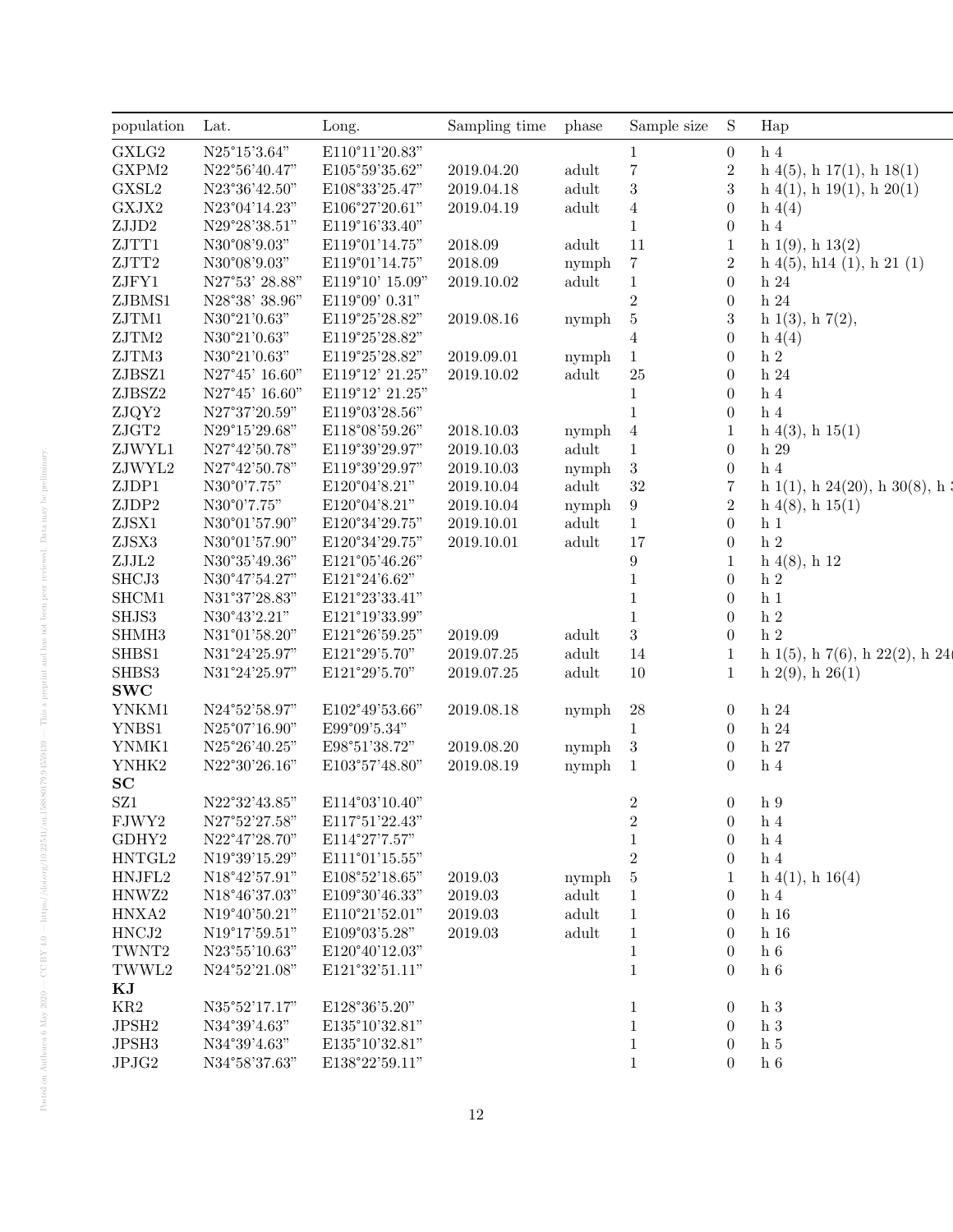| N25°15'3.64"<br>E110°11'20.83"<br>h <sub>4</sub><br>$\theta$<br>$\mathbf{1}$<br>$\overline{7}$<br>$\,2$<br>N22°56'40.47"<br>$h\ 4(5), h\ 17(1), h\ 18(1)$<br>E105°59'35.62"<br>2019.04.20<br>adult<br>$\sqrt{3}$<br>$\sqrt{3}$<br>N23°36'42.50"<br>E108°33'25.47"<br>2019.04.18<br>adult<br>$h\ 4(1), h\ 19(1), h\ 20(1)$<br>$\boldsymbol{0}$<br>N23°04'14.23"<br>E106°27'20.61"<br>$\overline{4}$<br>2019.04.19<br>adult<br>h(4(4)<br>N29°28'38.51"<br>$\overline{0}$<br>h <sub>4</sub><br>E119°16'33.40"<br>1<br>11<br>N30°08'9.03"<br>2018.09<br>adult<br>$\mathbf{1}$<br>h $1(9)$ , h $13(2)$<br>E119°01'14.75"<br>$\sqrt{2}$<br>N30°08'9.03"<br>$\overline{7}$<br>E119°01'14.75"<br>2018.09<br>nymph<br>$h\ 4(5),\ h14\ (1),\ h\ 21\ (1)$<br>$\boldsymbol{0}$<br>N27°53' 28.88"<br>E119°10' 15.09"<br>2019.10.02<br>adult<br>$\mathbf{1}$<br>$h\,24$<br>$\,2$<br>$\theta$<br>$\,$ h $24$<br>N28°38' 38.96"<br>E119°09' 0.31"<br>3<br>N30°21'0.63"<br>E119°25'28.82"<br>2019.08.16<br>$\overline{5}$<br>h $1(3)$ , h $7(2)$ ,<br>nymph<br>N30°21'0.63"<br>E119°25'28.82"<br>$\overline{0}$<br>h(4(4)<br>4<br>$\,$ h $2$<br>N30°21'0.63"<br>E119°25'28.82"<br>$\boldsymbol{0}$<br>2019.09.01<br>$\overline{1}$<br>nymph<br>ZJBSZ1<br>N27°45' 16.60"<br>E119°12' 21.25"<br>adult<br>25<br>$\boldsymbol{0}$<br>$\,$ h $24$<br>2019.10.02<br>N27°45' 16.60"<br>E119°12' 21.25"<br>$\boldsymbol{0}$<br>$\,h\,$ 4<br>1<br>N27°37'20.59"<br>h <sub>4</sub><br>E119°03'28.56"<br>1<br>$\overline{0}$<br>2018.10.03<br>$h\ 4(3), h\ 15(1)$<br>N29°15'29.68"<br>E118°08'59.26"<br>nymph 4<br>adult<br>N27°42'50.78"<br>$\overline{0}$<br>E119°39'29.97"<br>2019.10.03<br>$\mathbf{1}$<br>$\,$ h $29$<br>$\mathbf{3}$<br>$\,h\,$ 4<br>N27°42'50.78"<br>E119°39'29.97"<br>$\boldsymbol{0}$<br>2019.10.03<br>nymph<br>$32\,$<br>N30°0'7.75"<br>E120°04'8.21"<br>adult<br>$\overline{7}$<br>h $1(1)$ , h $24(20)$ , h $30(8)$ , h $\ddot{ }$<br>2019.10.04<br>$\sqrt{2}$<br>N30°0'7.75"<br>E120°04'8.21"<br>$9\phantom{.0}$<br>2019.10.04<br>$h\ 4(8), h\ 15(1)$<br>nymph<br>E120°34'29.75"<br>adult<br>$\overline{0}$<br>N30°01'57.90"<br>2019.10.01<br>$\mathbf{1}$<br>h <sub>1</sub><br>ZJSX3<br>17<br>$\,$ h $2$<br>N30°01'57.90"<br>E120°34'29.75"<br>adult<br>$\overline{0}$<br>2019.10.01<br>${\rm ZJJL2}$<br>$\boldsymbol{9}$<br>$h\ 4(8), h\ 12$<br>N30°35'49.36"<br>E121°05'46.26"<br>SHCJ3<br>$\,$ h $2$<br>N30°47'54.27"<br>E121°24'6.62"<br>$\theta$<br>SHCM1<br>N31°37'28.83"<br>$\,h\,$ 1<br>E121°23'33.41"<br>$\theta$<br>$\,$ h $\,2$<br>SHJS3<br>N30°43'2.21"<br>E121°19'33.99"<br>$\theta$<br>$\sqrt{3}$<br>$\,$ h $\,2$<br>SHMH <sub>3</sub><br>N31°01'58.20"<br>2019.09<br>adult<br>E121°26'59.25"<br>$\theta$<br>SHBS1<br>N31°24'25.97"<br>adult<br>14<br>h $1(5)$ , h $7(6)$ , h $22(2)$ , h $24$<br>E121°29'5.70"<br>2019.07.25<br>-1<br>SHBS3<br>N31°24'25.97"<br>adult<br>$10\,$<br>h $2(9)$ , h $26(1)$<br>E121°29'5.70"<br>2019.07.25<br>1<br>${\bf SWC}$<br>YNKM1<br>N24°52'58.97"<br>E102°49'53.66"<br>2019.08.18<br>$\sqrt{28}$<br>$\,$ h $24$<br>nymph<br>$\overline{0}$<br>YNBS1<br>$h\ 24$<br>N25°07'16.90"<br>E99°09'5.34"<br>$\theta$<br>1<br>YNMK1<br>$\overline{\mathbf{3}}$<br>$\,$ h $27$<br>N25°26'40.25"<br>E98°51'38.72"<br>2019.08.20<br>$\theta$<br>nymph<br>${\it YNHK2}$<br>h <sub>4</sub><br>N22°30'26.16"<br>E103°57'48.80"<br>2019.08.19<br>$\overline{0}$<br>nymph<br>$\overline{1}$<br>E114°03'10.40"<br>$\overline{2}$<br>h <sub>9</sub><br>N22°32'43.85"<br>$\overline{0}$<br>${\rm FJWY2}$<br>N27°52'27.58"<br>E117°51'22.43"<br>2<br>$\overline{0}$<br>h <sub>4</sub><br>$\text{GDHY2}$<br>$\,h\,$ 4<br>N22°47'28.70"<br>E114°27'7.57"<br>$\Omega$<br>HNTGL2<br>$\overline{2}$<br>N19°39'15.29"<br>E111°01'15.55"<br>h <sub>4</sub><br>$\theta$<br>h $4(1)$ , h $16(4)$<br>N18°42'57.91"<br>E108°52'18.65"<br>2019.03<br>$\overline{5}$<br>nymph<br>HNWZ2<br>N18°46'37.03"<br>E109°30'46.33"<br>2019.03<br>adult<br>h <sub>4</sub><br>$\theta$<br>HNXA2<br>$\,$ h $\,$ 16 $\,$<br>N19°40'50.21"<br>E110°21'52.01"<br>2019.03<br>adult<br>$\Omega$<br>$\mathbf{1}$<br>HNCJ2<br>N19°17'59.51"<br>E109°03'5.28"<br>2019.03<br>adult<br>h <sub>16</sub><br>$\mathbf{1}$<br>$\Omega$<br>TWNT2<br>N23°55'10.63"<br>E120°40'12.03"<br>h <sub>6</sub><br>$\left($<br>TWWL2<br>N24°52'21.08"<br>$\,$ h $\,$ 6 $\,$<br>E121°32'51.11"<br>$\theta$<br>N35°52'17.17"<br>E128°36'5.20"<br>h <sub>3</sub><br>$\theta$<br>$\,h\,$ 3<br>N34°39'4.63"<br>E135°10'32.81"<br>$\left($<br>N34°39'4.63"<br>$\,$ h $\,$ 5 $\,$<br>E135°10'32.81"<br>$\theta$<br>N34°58'37.63"<br>E138°22'59.11"<br>$\,$ h $\,$ 6 $\,$<br>1<br>$\overline{0}$ | population                           | Lat. | Long. | Sampling time | phase | Sample size | S | Hap |
|----------------------------------------------------------------------------------------------------------------------------------------------------------------------------------------------------------------------------------------------------------------------------------------------------------------------------------------------------------------------------------------------------------------------------------------------------------------------------------------------------------------------------------------------------------------------------------------------------------------------------------------------------------------------------------------------------------------------------------------------------------------------------------------------------------------------------------------------------------------------------------------------------------------------------------------------------------------------------------------------------------------------------------------------------------------------------------------------------------------------------------------------------------------------------------------------------------------------------------------------------------------------------------------------------------------------------------------------------------------------------------------------------------------------------------------------------------------------------------------------------------------------------------------------------------------------------------------------------------------------------------------------------------------------------------------------------------------------------------------------------------------------------------------------------------------------------------------------------------------------------------------------------------------------------------------------------------------------------------------------------------------------------------------------------------------------------------------------------------------------------------------------------------------------------------------------------------------------------------------------------------------------------------------------------------------------------------------------------------------------------------------------------------------------------------------------------------------------------------------------------------------------------------------------------------------------------------------------------------------------------------------------------------------------------------------------------------------------------------------------------------------------------------------------------------------------------------------------------------------------------------------------------------------------------------------------------------------------------------------------------------------------------------------------------------------------------------------------------------------------------------------------------------------------------------------------------------------------------------------------------------------------------------------------------------------------------------------------------------------------------------------------------------------------------------------------------------------------------------------------------------------------------------------------------------------------------------------------------------------------------------------------------------------------------------------------------------------------------------------------------------------------------------------------------------------------------------------------------------------------------------------------------------------------------------------------------------------------------------------------------------------------------------------------------------------------------------------------------------------------------------------------------------------------------------------------------------------------------------------------------------------------------------------------------------------------------------------------------------------------------------------------------------------------------------------------------------------------------------------------------------------------------------------------------------------------------------------------------------------------------------------------------------------------|--------------------------------------|------|-------|---------------|-------|-------------|---|-----|
|                                                                                                                                                                                                                                                                                                                                                                                                                                                                                                                                                                                                                                                                                                                                                                                                                                                                                                                                                                                                                                                                                                                                                                                                                                                                                                                                                                                                                                                                                                                                                                                                                                                                                                                                                                                                                                                                                                                                                                                                                                                                                                                                                                                                                                                                                                                                                                                                                                                                                                                                                                                                                                                                                                                                                                                                                                                                                                                                                                                                                                                                                                                                                                                                                                                                                                                                                                                                                                                                                                                                                                                                                                                                                                                                                                                                                                                                                                                                                                                                                                                                                                                                                                                                                                                                                                                                                                                                                                                                                                                                                                                                                                                                      | ${\rm GXLG2}$                        |      |       |               |       |             |   |     |
|                                                                                                                                                                                                                                                                                                                                                                                                                                                                                                                                                                                                                                                                                                                                                                                                                                                                                                                                                                                                                                                                                                                                                                                                                                                                                                                                                                                                                                                                                                                                                                                                                                                                                                                                                                                                                                                                                                                                                                                                                                                                                                                                                                                                                                                                                                                                                                                                                                                                                                                                                                                                                                                                                                                                                                                                                                                                                                                                                                                                                                                                                                                                                                                                                                                                                                                                                                                                                                                                                                                                                                                                                                                                                                                                                                                                                                                                                                                                                                                                                                                                                                                                                                                                                                                                                                                                                                                                                                                                                                                                                                                                                                                                      | GXPM2                                |      |       |               |       |             |   |     |
|                                                                                                                                                                                                                                                                                                                                                                                                                                                                                                                                                                                                                                                                                                                                                                                                                                                                                                                                                                                                                                                                                                                                                                                                                                                                                                                                                                                                                                                                                                                                                                                                                                                                                                                                                                                                                                                                                                                                                                                                                                                                                                                                                                                                                                                                                                                                                                                                                                                                                                                                                                                                                                                                                                                                                                                                                                                                                                                                                                                                                                                                                                                                                                                                                                                                                                                                                                                                                                                                                                                                                                                                                                                                                                                                                                                                                                                                                                                                                                                                                                                                                                                                                                                                                                                                                                                                                                                                                                                                                                                                                                                                                                                                      | ${\rm GXSL2}$                        |      |       |               |       |             |   |     |
|                                                                                                                                                                                                                                                                                                                                                                                                                                                                                                                                                                                                                                                                                                                                                                                                                                                                                                                                                                                                                                                                                                                                                                                                                                                                                                                                                                                                                                                                                                                                                                                                                                                                                                                                                                                                                                                                                                                                                                                                                                                                                                                                                                                                                                                                                                                                                                                                                                                                                                                                                                                                                                                                                                                                                                                                                                                                                                                                                                                                                                                                                                                                                                                                                                                                                                                                                                                                                                                                                                                                                                                                                                                                                                                                                                                                                                                                                                                                                                                                                                                                                                                                                                                                                                                                                                                                                                                                                                                                                                                                                                                                                                                                      | ${\rm GXJX2}$                        |      |       |               |       |             |   |     |
|                                                                                                                                                                                                                                                                                                                                                                                                                                                                                                                                                                                                                                                                                                                                                                                                                                                                                                                                                                                                                                                                                                                                                                                                                                                                                                                                                                                                                                                                                                                                                                                                                                                                                                                                                                                                                                                                                                                                                                                                                                                                                                                                                                                                                                                                                                                                                                                                                                                                                                                                                                                                                                                                                                                                                                                                                                                                                                                                                                                                                                                                                                                                                                                                                                                                                                                                                                                                                                                                                                                                                                                                                                                                                                                                                                                                                                                                                                                                                                                                                                                                                                                                                                                                                                                                                                                                                                                                                                                                                                                                                                                                                                                                      | ${\rm ZJJD2}$                        |      |       |               |       |             |   |     |
|                                                                                                                                                                                                                                                                                                                                                                                                                                                                                                                                                                                                                                                                                                                                                                                                                                                                                                                                                                                                                                                                                                                                                                                                                                                                                                                                                                                                                                                                                                                                                                                                                                                                                                                                                                                                                                                                                                                                                                                                                                                                                                                                                                                                                                                                                                                                                                                                                                                                                                                                                                                                                                                                                                                                                                                                                                                                                                                                                                                                                                                                                                                                                                                                                                                                                                                                                                                                                                                                                                                                                                                                                                                                                                                                                                                                                                                                                                                                                                                                                                                                                                                                                                                                                                                                                                                                                                                                                                                                                                                                                                                                                                                                      | ZJTT1                                |      |       |               |       |             |   |     |
|                                                                                                                                                                                                                                                                                                                                                                                                                                                                                                                                                                                                                                                                                                                                                                                                                                                                                                                                                                                                                                                                                                                                                                                                                                                                                                                                                                                                                                                                                                                                                                                                                                                                                                                                                                                                                                                                                                                                                                                                                                                                                                                                                                                                                                                                                                                                                                                                                                                                                                                                                                                                                                                                                                                                                                                                                                                                                                                                                                                                                                                                                                                                                                                                                                                                                                                                                                                                                                                                                                                                                                                                                                                                                                                                                                                                                                                                                                                                                                                                                                                                                                                                                                                                                                                                                                                                                                                                                                                                                                                                                                                                                                                                      | ${\rm ZJTT2}$                        |      |       |               |       |             |   |     |
|                                                                                                                                                                                                                                                                                                                                                                                                                                                                                                                                                                                                                                                                                                                                                                                                                                                                                                                                                                                                                                                                                                                                                                                                                                                                                                                                                                                                                                                                                                                                                                                                                                                                                                                                                                                                                                                                                                                                                                                                                                                                                                                                                                                                                                                                                                                                                                                                                                                                                                                                                                                                                                                                                                                                                                                                                                                                                                                                                                                                                                                                                                                                                                                                                                                                                                                                                                                                                                                                                                                                                                                                                                                                                                                                                                                                                                                                                                                                                                                                                                                                                                                                                                                                                                                                                                                                                                                                                                                                                                                                                                                                                                                                      | ZJFY1                                |      |       |               |       |             |   |     |
|                                                                                                                                                                                                                                                                                                                                                                                                                                                                                                                                                                                                                                                                                                                                                                                                                                                                                                                                                                                                                                                                                                                                                                                                                                                                                                                                                                                                                                                                                                                                                                                                                                                                                                                                                                                                                                                                                                                                                                                                                                                                                                                                                                                                                                                                                                                                                                                                                                                                                                                                                                                                                                                                                                                                                                                                                                                                                                                                                                                                                                                                                                                                                                                                                                                                                                                                                                                                                                                                                                                                                                                                                                                                                                                                                                                                                                                                                                                                                                                                                                                                                                                                                                                                                                                                                                                                                                                                                                                                                                                                                                                                                                                                      | ZJBMS1                               |      |       |               |       |             |   |     |
|                                                                                                                                                                                                                                                                                                                                                                                                                                                                                                                                                                                                                                                                                                                                                                                                                                                                                                                                                                                                                                                                                                                                                                                                                                                                                                                                                                                                                                                                                                                                                                                                                                                                                                                                                                                                                                                                                                                                                                                                                                                                                                                                                                                                                                                                                                                                                                                                                                                                                                                                                                                                                                                                                                                                                                                                                                                                                                                                                                                                                                                                                                                                                                                                                                                                                                                                                                                                                                                                                                                                                                                                                                                                                                                                                                                                                                                                                                                                                                                                                                                                                                                                                                                                                                                                                                                                                                                                                                                                                                                                                                                                                                                                      | ${\rm ZJTM1}$                        |      |       |               |       |             |   |     |
|                                                                                                                                                                                                                                                                                                                                                                                                                                                                                                                                                                                                                                                                                                                                                                                                                                                                                                                                                                                                                                                                                                                                                                                                                                                                                                                                                                                                                                                                                                                                                                                                                                                                                                                                                                                                                                                                                                                                                                                                                                                                                                                                                                                                                                                                                                                                                                                                                                                                                                                                                                                                                                                                                                                                                                                                                                                                                                                                                                                                                                                                                                                                                                                                                                                                                                                                                                                                                                                                                                                                                                                                                                                                                                                                                                                                                                                                                                                                                                                                                                                                                                                                                                                                                                                                                                                                                                                                                                                                                                                                                                                                                                                                      | ${\rm ZJTM2}$                        |      |       |               |       |             |   |     |
|                                                                                                                                                                                                                                                                                                                                                                                                                                                                                                                                                                                                                                                                                                                                                                                                                                                                                                                                                                                                                                                                                                                                                                                                                                                                                                                                                                                                                                                                                                                                                                                                                                                                                                                                                                                                                                                                                                                                                                                                                                                                                                                                                                                                                                                                                                                                                                                                                                                                                                                                                                                                                                                                                                                                                                                                                                                                                                                                                                                                                                                                                                                                                                                                                                                                                                                                                                                                                                                                                                                                                                                                                                                                                                                                                                                                                                                                                                                                                                                                                                                                                                                                                                                                                                                                                                                                                                                                                                                                                                                                                                                                                                                                      | ${\rm ZJTM3}$                        |      |       |               |       |             |   |     |
|                                                                                                                                                                                                                                                                                                                                                                                                                                                                                                                                                                                                                                                                                                                                                                                                                                                                                                                                                                                                                                                                                                                                                                                                                                                                                                                                                                                                                                                                                                                                                                                                                                                                                                                                                                                                                                                                                                                                                                                                                                                                                                                                                                                                                                                                                                                                                                                                                                                                                                                                                                                                                                                                                                                                                                                                                                                                                                                                                                                                                                                                                                                                                                                                                                                                                                                                                                                                                                                                                                                                                                                                                                                                                                                                                                                                                                                                                                                                                                                                                                                                                                                                                                                                                                                                                                                                                                                                                                                                                                                                                                                                                                                                      |                                      |      |       |               |       |             |   |     |
|                                                                                                                                                                                                                                                                                                                                                                                                                                                                                                                                                                                                                                                                                                                                                                                                                                                                                                                                                                                                                                                                                                                                                                                                                                                                                                                                                                                                                                                                                                                                                                                                                                                                                                                                                                                                                                                                                                                                                                                                                                                                                                                                                                                                                                                                                                                                                                                                                                                                                                                                                                                                                                                                                                                                                                                                                                                                                                                                                                                                                                                                                                                                                                                                                                                                                                                                                                                                                                                                                                                                                                                                                                                                                                                                                                                                                                                                                                                                                                                                                                                                                                                                                                                                                                                                                                                                                                                                                                                                                                                                                                                                                                                                      | ZJBSZ2                               |      |       |               |       |             |   |     |
|                                                                                                                                                                                                                                                                                                                                                                                                                                                                                                                                                                                                                                                                                                                                                                                                                                                                                                                                                                                                                                                                                                                                                                                                                                                                                                                                                                                                                                                                                                                                                                                                                                                                                                                                                                                                                                                                                                                                                                                                                                                                                                                                                                                                                                                                                                                                                                                                                                                                                                                                                                                                                                                                                                                                                                                                                                                                                                                                                                                                                                                                                                                                                                                                                                                                                                                                                                                                                                                                                                                                                                                                                                                                                                                                                                                                                                                                                                                                                                                                                                                                                                                                                                                                                                                                                                                                                                                                                                                                                                                                                                                                                                                                      | ${\rm ZJQY2}$                        |      |       |               |       |             |   |     |
|                                                                                                                                                                                                                                                                                                                                                                                                                                                                                                                                                                                                                                                                                                                                                                                                                                                                                                                                                                                                                                                                                                                                                                                                                                                                                                                                                                                                                                                                                                                                                                                                                                                                                                                                                                                                                                                                                                                                                                                                                                                                                                                                                                                                                                                                                                                                                                                                                                                                                                                                                                                                                                                                                                                                                                                                                                                                                                                                                                                                                                                                                                                                                                                                                                                                                                                                                                                                                                                                                                                                                                                                                                                                                                                                                                                                                                                                                                                                                                                                                                                                                                                                                                                                                                                                                                                                                                                                                                                                                                                                                                                                                                                                      | ${\rm ZJGT2}$                        |      |       |               |       |             |   |     |
|                                                                                                                                                                                                                                                                                                                                                                                                                                                                                                                                                                                                                                                                                                                                                                                                                                                                                                                                                                                                                                                                                                                                                                                                                                                                                                                                                                                                                                                                                                                                                                                                                                                                                                                                                                                                                                                                                                                                                                                                                                                                                                                                                                                                                                                                                                                                                                                                                                                                                                                                                                                                                                                                                                                                                                                                                                                                                                                                                                                                                                                                                                                                                                                                                                                                                                                                                                                                                                                                                                                                                                                                                                                                                                                                                                                                                                                                                                                                                                                                                                                                                                                                                                                                                                                                                                                                                                                                                                                                                                                                                                                                                                                                      | ZJWYL1                               |      |       |               |       |             |   |     |
|                                                                                                                                                                                                                                                                                                                                                                                                                                                                                                                                                                                                                                                                                                                                                                                                                                                                                                                                                                                                                                                                                                                                                                                                                                                                                                                                                                                                                                                                                                                                                                                                                                                                                                                                                                                                                                                                                                                                                                                                                                                                                                                                                                                                                                                                                                                                                                                                                                                                                                                                                                                                                                                                                                                                                                                                                                                                                                                                                                                                                                                                                                                                                                                                                                                                                                                                                                                                                                                                                                                                                                                                                                                                                                                                                                                                                                                                                                                                                                                                                                                                                                                                                                                                                                                                                                                                                                                                                                                                                                                                                                                                                                                                      | ${\rm ZJWYL2}$                       |      |       |               |       |             |   |     |
|                                                                                                                                                                                                                                                                                                                                                                                                                                                                                                                                                                                                                                                                                                                                                                                                                                                                                                                                                                                                                                                                                                                                                                                                                                                                                                                                                                                                                                                                                                                                                                                                                                                                                                                                                                                                                                                                                                                                                                                                                                                                                                                                                                                                                                                                                                                                                                                                                                                                                                                                                                                                                                                                                                                                                                                                                                                                                                                                                                                                                                                                                                                                                                                                                                                                                                                                                                                                                                                                                                                                                                                                                                                                                                                                                                                                                                                                                                                                                                                                                                                                                                                                                                                                                                                                                                                                                                                                                                                                                                                                                                                                                                                                      | ZJDP1                                |      |       |               |       |             |   |     |
|                                                                                                                                                                                                                                                                                                                                                                                                                                                                                                                                                                                                                                                                                                                                                                                                                                                                                                                                                                                                                                                                                                                                                                                                                                                                                                                                                                                                                                                                                                                                                                                                                                                                                                                                                                                                                                                                                                                                                                                                                                                                                                                                                                                                                                                                                                                                                                                                                                                                                                                                                                                                                                                                                                                                                                                                                                                                                                                                                                                                                                                                                                                                                                                                                                                                                                                                                                                                                                                                                                                                                                                                                                                                                                                                                                                                                                                                                                                                                                                                                                                                                                                                                                                                                                                                                                                                                                                                                                                                                                                                                                                                                                                                      | $\ensuremath{\mathrm{ZJDP2}}\xspace$ |      |       |               |       |             |   |     |
|                                                                                                                                                                                                                                                                                                                                                                                                                                                                                                                                                                                                                                                                                                                                                                                                                                                                                                                                                                                                                                                                                                                                                                                                                                                                                                                                                                                                                                                                                                                                                                                                                                                                                                                                                                                                                                                                                                                                                                                                                                                                                                                                                                                                                                                                                                                                                                                                                                                                                                                                                                                                                                                                                                                                                                                                                                                                                                                                                                                                                                                                                                                                                                                                                                                                                                                                                                                                                                                                                                                                                                                                                                                                                                                                                                                                                                                                                                                                                                                                                                                                                                                                                                                                                                                                                                                                                                                                                                                                                                                                                                                                                                                                      | ZJSX1                                |      |       |               |       |             |   |     |
|                                                                                                                                                                                                                                                                                                                                                                                                                                                                                                                                                                                                                                                                                                                                                                                                                                                                                                                                                                                                                                                                                                                                                                                                                                                                                                                                                                                                                                                                                                                                                                                                                                                                                                                                                                                                                                                                                                                                                                                                                                                                                                                                                                                                                                                                                                                                                                                                                                                                                                                                                                                                                                                                                                                                                                                                                                                                                                                                                                                                                                                                                                                                                                                                                                                                                                                                                                                                                                                                                                                                                                                                                                                                                                                                                                                                                                                                                                                                                                                                                                                                                                                                                                                                                                                                                                                                                                                                                                                                                                                                                                                                                                                                      |                                      |      |       |               |       |             |   |     |
|                                                                                                                                                                                                                                                                                                                                                                                                                                                                                                                                                                                                                                                                                                                                                                                                                                                                                                                                                                                                                                                                                                                                                                                                                                                                                                                                                                                                                                                                                                                                                                                                                                                                                                                                                                                                                                                                                                                                                                                                                                                                                                                                                                                                                                                                                                                                                                                                                                                                                                                                                                                                                                                                                                                                                                                                                                                                                                                                                                                                                                                                                                                                                                                                                                                                                                                                                                                                                                                                                                                                                                                                                                                                                                                                                                                                                                                                                                                                                                                                                                                                                                                                                                                                                                                                                                                                                                                                                                                                                                                                                                                                                                                                      |                                      |      |       |               |       |             |   |     |
|                                                                                                                                                                                                                                                                                                                                                                                                                                                                                                                                                                                                                                                                                                                                                                                                                                                                                                                                                                                                                                                                                                                                                                                                                                                                                                                                                                                                                                                                                                                                                                                                                                                                                                                                                                                                                                                                                                                                                                                                                                                                                                                                                                                                                                                                                                                                                                                                                                                                                                                                                                                                                                                                                                                                                                                                                                                                                                                                                                                                                                                                                                                                                                                                                                                                                                                                                                                                                                                                                                                                                                                                                                                                                                                                                                                                                                                                                                                                                                                                                                                                                                                                                                                                                                                                                                                                                                                                                                                                                                                                                                                                                                                                      |                                      |      |       |               |       |             |   |     |
|                                                                                                                                                                                                                                                                                                                                                                                                                                                                                                                                                                                                                                                                                                                                                                                                                                                                                                                                                                                                                                                                                                                                                                                                                                                                                                                                                                                                                                                                                                                                                                                                                                                                                                                                                                                                                                                                                                                                                                                                                                                                                                                                                                                                                                                                                                                                                                                                                                                                                                                                                                                                                                                                                                                                                                                                                                                                                                                                                                                                                                                                                                                                                                                                                                                                                                                                                                                                                                                                                                                                                                                                                                                                                                                                                                                                                                                                                                                                                                                                                                                                                                                                                                                                                                                                                                                                                                                                                                                                                                                                                                                                                                                                      |                                      |      |       |               |       |             |   |     |
|                                                                                                                                                                                                                                                                                                                                                                                                                                                                                                                                                                                                                                                                                                                                                                                                                                                                                                                                                                                                                                                                                                                                                                                                                                                                                                                                                                                                                                                                                                                                                                                                                                                                                                                                                                                                                                                                                                                                                                                                                                                                                                                                                                                                                                                                                                                                                                                                                                                                                                                                                                                                                                                                                                                                                                                                                                                                                                                                                                                                                                                                                                                                                                                                                                                                                                                                                                                                                                                                                                                                                                                                                                                                                                                                                                                                                                                                                                                                                                                                                                                                                                                                                                                                                                                                                                                                                                                                                                                                                                                                                                                                                                                                      |                                      |      |       |               |       |             |   |     |
|                                                                                                                                                                                                                                                                                                                                                                                                                                                                                                                                                                                                                                                                                                                                                                                                                                                                                                                                                                                                                                                                                                                                                                                                                                                                                                                                                                                                                                                                                                                                                                                                                                                                                                                                                                                                                                                                                                                                                                                                                                                                                                                                                                                                                                                                                                                                                                                                                                                                                                                                                                                                                                                                                                                                                                                                                                                                                                                                                                                                                                                                                                                                                                                                                                                                                                                                                                                                                                                                                                                                                                                                                                                                                                                                                                                                                                                                                                                                                                                                                                                                                                                                                                                                                                                                                                                                                                                                                                                                                                                                                                                                                                                                      |                                      |      |       |               |       |             |   |     |
|                                                                                                                                                                                                                                                                                                                                                                                                                                                                                                                                                                                                                                                                                                                                                                                                                                                                                                                                                                                                                                                                                                                                                                                                                                                                                                                                                                                                                                                                                                                                                                                                                                                                                                                                                                                                                                                                                                                                                                                                                                                                                                                                                                                                                                                                                                                                                                                                                                                                                                                                                                                                                                                                                                                                                                                                                                                                                                                                                                                                                                                                                                                                                                                                                                                                                                                                                                                                                                                                                                                                                                                                                                                                                                                                                                                                                                                                                                                                                                                                                                                                                                                                                                                                                                                                                                                                                                                                                                                                                                                                                                                                                                                                      |                                      |      |       |               |       |             |   |     |
|                                                                                                                                                                                                                                                                                                                                                                                                                                                                                                                                                                                                                                                                                                                                                                                                                                                                                                                                                                                                                                                                                                                                                                                                                                                                                                                                                                                                                                                                                                                                                                                                                                                                                                                                                                                                                                                                                                                                                                                                                                                                                                                                                                                                                                                                                                                                                                                                                                                                                                                                                                                                                                                                                                                                                                                                                                                                                                                                                                                                                                                                                                                                                                                                                                                                                                                                                                                                                                                                                                                                                                                                                                                                                                                                                                                                                                                                                                                                                                                                                                                                                                                                                                                                                                                                                                                                                                                                                                                                                                                                                                                                                                                                      |                                      |      |       |               |       |             |   |     |
|                                                                                                                                                                                                                                                                                                                                                                                                                                                                                                                                                                                                                                                                                                                                                                                                                                                                                                                                                                                                                                                                                                                                                                                                                                                                                                                                                                                                                                                                                                                                                                                                                                                                                                                                                                                                                                                                                                                                                                                                                                                                                                                                                                                                                                                                                                                                                                                                                                                                                                                                                                                                                                                                                                                                                                                                                                                                                                                                                                                                                                                                                                                                                                                                                                                                                                                                                                                                                                                                                                                                                                                                                                                                                                                                                                                                                                                                                                                                                                                                                                                                                                                                                                                                                                                                                                                                                                                                                                                                                                                                                                                                                                                                      |                                      |      |       |               |       |             |   |     |
|                                                                                                                                                                                                                                                                                                                                                                                                                                                                                                                                                                                                                                                                                                                                                                                                                                                                                                                                                                                                                                                                                                                                                                                                                                                                                                                                                                                                                                                                                                                                                                                                                                                                                                                                                                                                                                                                                                                                                                                                                                                                                                                                                                                                                                                                                                                                                                                                                                                                                                                                                                                                                                                                                                                                                                                                                                                                                                                                                                                                                                                                                                                                                                                                                                                                                                                                                                                                                                                                                                                                                                                                                                                                                                                                                                                                                                                                                                                                                                                                                                                                                                                                                                                                                                                                                                                                                                                                                                                                                                                                                                                                                                                                      |                                      |      |       |               |       |             |   |     |
|                                                                                                                                                                                                                                                                                                                                                                                                                                                                                                                                                                                                                                                                                                                                                                                                                                                                                                                                                                                                                                                                                                                                                                                                                                                                                                                                                                                                                                                                                                                                                                                                                                                                                                                                                                                                                                                                                                                                                                                                                                                                                                                                                                                                                                                                                                                                                                                                                                                                                                                                                                                                                                                                                                                                                                                                                                                                                                                                                                                                                                                                                                                                                                                                                                                                                                                                                                                                                                                                                                                                                                                                                                                                                                                                                                                                                                                                                                                                                                                                                                                                                                                                                                                                                                                                                                                                                                                                                                                                                                                                                                                                                                                                      |                                      |      |       |               |       |             |   |     |
|                                                                                                                                                                                                                                                                                                                                                                                                                                                                                                                                                                                                                                                                                                                                                                                                                                                                                                                                                                                                                                                                                                                                                                                                                                                                                                                                                                                                                                                                                                                                                                                                                                                                                                                                                                                                                                                                                                                                                                                                                                                                                                                                                                                                                                                                                                                                                                                                                                                                                                                                                                                                                                                                                                                                                                                                                                                                                                                                                                                                                                                                                                                                                                                                                                                                                                                                                                                                                                                                                                                                                                                                                                                                                                                                                                                                                                                                                                                                                                                                                                                                                                                                                                                                                                                                                                                                                                                                                                                                                                                                                                                                                                                                      |                                      |      |       |               |       |             |   |     |
|                                                                                                                                                                                                                                                                                                                                                                                                                                                                                                                                                                                                                                                                                                                                                                                                                                                                                                                                                                                                                                                                                                                                                                                                                                                                                                                                                                                                                                                                                                                                                                                                                                                                                                                                                                                                                                                                                                                                                                                                                                                                                                                                                                                                                                                                                                                                                                                                                                                                                                                                                                                                                                                                                                                                                                                                                                                                                                                                                                                                                                                                                                                                                                                                                                                                                                                                                                                                                                                                                                                                                                                                                                                                                                                                                                                                                                                                                                                                                                                                                                                                                                                                                                                                                                                                                                                                                                                                                                                                                                                                                                                                                                                                      |                                      |      |       |               |       |             |   |     |
|                                                                                                                                                                                                                                                                                                                                                                                                                                                                                                                                                                                                                                                                                                                                                                                                                                                                                                                                                                                                                                                                                                                                                                                                                                                                                                                                                                                                                                                                                                                                                                                                                                                                                                                                                                                                                                                                                                                                                                                                                                                                                                                                                                                                                                                                                                                                                                                                                                                                                                                                                                                                                                                                                                                                                                                                                                                                                                                                                                                                                                                                                                                                                                                                                                                                                                                                                                                                                                                                                                                                                                                                                                                                                                                                                                                                                                                                                                                                                                                                                                                                                                                                                                                                                                                                                                                                                                                                                                                                                                                                                                                                                                                                      | ${\bf SC}$                           |      |       |               |       |             |   |     |
|                                                                                                                                                                                                                                                                                                                                                                                                                                                                                                                                                                                                                                                                                                                                                                                                                                                                                                                                                                                                                                                                                                                                                                                                                                                                                                                                                                                                                                                                                                                                                                                                                                                                                                                                                                                                                                                                                                                                                                                                                                                                                                                                                                                                                                                                                                                                                                                                                                                                                                                                                                                                                                                                                                                                                                                                                                                                                                                                                                                                                                                                                                                                                                                                                                                                                                                                                                                                                                                                                                                                                                                                                                                                                                                                                                                                                                                                                                                                                                                                                                                                                                                                                                                                                                                                                                                                                                                                                                                                                                                                                                                                                                                                      | SZ1                                  |      |       |               |       |             |   |     |
|                                                                                                                                                                                                                                                                                                                                                                                                                                                                                                                                                                                                                                                                                                                                                                                                                                                                                                                                                                                                                                                                                                                                                                                                                                                                                                                                                                                                                                                                                                                                                                                                                                                                                                                                                                                                                                                                                                                                                                                                                                                                                                                                                                                                                                                                                                                                                                                                                                                                                                                                                                                                                                                                                                                                                                                                                                                                                                                                                                                                                                                                                                                                                                                                                                                                                                                                                                                                                                                                                                                                                                                                                                                                                                                                                                                                                                                                                                                                                                                                                                                                                                                                                                                                                                                                                                                                                                                                                                                                                                                                                                                                                                                                      |                                      |      |       |               |       |             |   |     |
|                                                                                                                                                                                                                                                                                                                                                                                                                                                                                                                                                                                                                                                                                                                                                                                                                                                                                                                                                                                                                                                                                                                                                                                                                                                                                                                                                                                                                                                                                                                                                                                                                                                                                                                                                                                                                                                                                                                                                                                                                                                                                                                                                                                                                                                                                                                                                                                                                                                                                                                                                                                                                                                                                                                                                                                                                                                                                                                                                                                                                                                                                                                                                                                                                                                                                                                                                                                                                                                                                                                                                                                                                                                                                                                                                                                                                                                                                                                                                                                                                                                                                                                                                                                                                                                                                                                                                                                                                                                                                                                                                                                                                                                                      |                                      |      |       |               |       |             |   |     |
|                                                                                                                                                                                                                                                                                                                                                                                                                                                                                                                                                                                                                                                                                                                                                                                                                                                                                                                                                                                                                                                                                                                                                                                                                                                                                                                                                                                                                                                                                                                                                                                                                                                                                                                                                                                                                                                                                                                                                                                                                                                                                                                                                                                                                                                                                                                                                                                                                                                                                                                                                                                                                                                                                                                                                                                                                                                                                                                                                                                                                                                                                                                                                                                                                                                                                                                                                                                                                                                                                                                                                                                                                                                                                                                                                                                                                                                                                                                                                                                                                                                                                                                                                                                                                                                                                                                                                                                                                                                                                                                                                                                                                                                                      |                                      |      |       |               |       |             |   |     |
|                                                                                                                                                                                                                                                                                                                                                                                                                                                                                                                                                                                                                                                                                                                                                                                                                                                                                                                                                                                                                                                                                                                                                                                                                                                                                                                                                                                                                                                                                                                                                                                                                                                                                                                                                                                                                                                                                                                                                                                                                                                                                                                                                                                                                                                                                                                                                                                                                                                                                                                                                                                                                                                                                                                                                                                                                                                                                                                                                                                                                                                                                                                                                                                                                                                                                                                                                                                                                                                                                                                                                                                                                                                                                                                                                                                                                                                                                                                                                                                                                                                                                                                                                                                                                                                                                                                                                                                                                                                                                                                                                                                                                                                                      | HNJFL2                               |      |       |               |       |             |   |     |
|                                                                                                                                                                                                                                                                                                                                                                                                                                                                                                                                                                                                                                                                                                                                                                                                                                                                                                                                                                                                                                                                                                                                                                                                                                                                                                                                                                                                                                                                                                                                                                                                                                                                                                                                                                                                                                                                                                                                                                                                                                                                                                                                                                                                                                                                                                                                                                                                                                                                                                                                                                                                                                                                                                                                                                                                                                                                                                                                                                                                                                                                                                                                                                                                                                                                                                                                                                                                                                                                                                                                                                                                                                                                                                                                                                                                                                                                                                                                                                                                                                                                                                                                                                                                                                                                                                                                                                                                                                                                                                                                                                                                                                                                      |                                      |      |       |               |       |             |   |     |
|                                                                                                                                                                                                                                                                                                                                                                                                                                                                                                                                                                                                                                                                                                                                                                                                                                                                                                                                                                                                                                                                                                                                                                                                                                                                                                                                                                                                                                                                                                                                                                                                                                                                                                                                                                                                                                                                                                                                                                                                                                                                                                                                                                                                                                                                                                                                                                                                                                                                                                                                                                                                                                                                                                                                                                                                                                                                                                                                                                                                                                                                                                                                                                                                                                                                                                                                                                                                                                                                                                                                                                                                                                                                                                                                                                                                                                                                                                                                                                                                                                                                                                                                                                                                                                                                                                                                                                                                                                                                                                                                                                                                                                                                      |                                      |      |       |               |       |             |   |     |
|                                                                                                                                                                                                                                                                                                                                                                                                                                                                                                                                                                                                                                                                                                                                                                                                                                                                                                                                                                                                                                                                                                                                                                                                                                                                                                                                                                                                                                                                                                                                                                                                                                                                                                                                                                                                                                                                                                                                                                                                                                                                                                                                                                                                                                                                                                                                                                                                                                                                                                                                                                                                                                                                                                                                                                                                                                                                                                                                                                                                                                                                                                                                                                                                                                                                                                                                                                                                                                                                                                                                                                                                                                                                                                                                                                                                                                                                                                                                                                                                                                                                                                                                                                                                                                                                                                                                                                                                                                                                                                                                                                                                                                                                      |                                      |      |       |               |       |             |   |     |
|                                                                                                                                                                                                                                                                                                                                                                                                                                                                                                                                                                                                                                                                                                                                                                                                                                                                                                                                                                                                                                                                                                                                                                                                                                                                                                                                                                                                                                                                                                                                                                                                                                                                                                                                                                                                                                                                                                                                                                                                                                                                                                                                                                                                                                                                                                                                                                                                                                                                                                                                                                                                                                                                                                                                                                                                                                                                                                                                                                                                                                                                                                                                                                                                                                                                                                                                                                                                                                                                                                                                                                                                                                                                                                                                                                                                                                                                                                                                                                                                                                                                                                                                                                                                                                                                                                                                                                                                                                                                                                                                                                                                                                                                      |                                      |      |       |               |       |             |   |     |
|                                                                                                                                                                                                                                                                                                                                                                                                                                                                                                                                                                                                                                                                                                                                                                                                                                                                                                                                                                                                                                                                                                                                                                                                                                                                                                                                                                                                                                                                                                                                                                                                                                                                                                                                                                                                                                                                                                                                                                                                                                                                                                                                                                                                                                                                                                                                                                                                                                                                                                                                                                                                                                                                                                                                                                                                                                                                                                                                                                                                                                                                                                                                                                                                                                                                                                                                                                                                                                                                                                                                                                                                                                                                                                                                                                                                                                                                                                                                                                                                                                                                                                                                                                                                                                                                                                                                                                                                                                                                                                                                                                                                                                                                      |                                      |      |       |               |       |             |   |     |
|                                                                                                                                                                                                                                                                                                                                                                                                                                                                                                                                                                                                                                                                                                                                                                                                                                                                                                                                                                                                                                                                                                                                                                                                                                                                                                                                                                                                                                                                                                                                                                                                                                                                                                                                                                                                                                                                                                                                                                                                                                                                                                                                                                                                                                                                                                                                                                                                                                                                                                                                                                                                                                                                                                                                                                                                                                                                                                                                                                                                                                                                                                                                                                                                                                                                                                                                                                                                                                                                                                                                                                                                                                                                                                                                                                                                                                                                                                                                                                                                                                                                                                                                                                                                                                                                                                                                                                                                                                                                                                                                                                                                                                                                      | KJ                                   |      |       |               |       |             |   |     |
|                                                                                                                                                                                                                                                                                                                                                                                                                                                                                                                                                                                                                                                                                                                                                                                                                                                                                                                                                                                                                                                                                                                                                                                                                                                                                                                                                                                                                                                                                                                                                                                                                                                                                                                                                                                                                                                                                                                                                                                                                                                                                                                                                                                                                                                                                                                                                                                                                                                                                                                                                                                                                                                                                                                                                                                                                                                                                                                                                                                                                                                                                                                                                                                                                                                                                                                                                                                                                                                                                                                                                                                                                                                                                                                                                                                                                                                                                                                                                                                                                                                                                                                                                                                                                                                                                                                                                                                                                                                                                                                                                                                                                                                                      | $\rm KR2$                            |      |       |               |       |             |   |     |
|                                                                                                                                                                                                                                                                                                                                                                                                                                                                                                                                                                                                                                                                                                                                                                                                                                                                                                                                                                                                                                                                                                                                                                                                                                                                                                                                                                                                                                                                                                                                                                                                                                                                                                                                                                                                                                                                                                                                                                                                                                                                                                                                                                                                                                                                                                                                                                                                                                                                                                                                                                                                                                                                                                                                                                                                                                                                                                                                                                                                                                                                                                                                                                                                                                                                                                                                                                                                                                                                                                                                                                                                                                                                                                                                                                                                                                                                                                                                                                                                                                                                                                                                                                                                                                                                                                                                                                                                                                                                                                                                                                                                                                                                      | JPSH <sub>2</sub>                    |      |       |               |       |             |   |     |
|                                                                                                                                                                                                                                                                                                                                                                                                                                                                                                                                                                                                                                                                                                                                                                                                                                                                                                                                                                                                                                                                                                                                                                                                                                                                                                                                                                                                                                                                                                                                                                                                                                                                                                                                                                                                                                                                                                                                                                                                                                                                                                                                                                                                                                                                                                                                                                                                                                                                                                                                                                                                                                                                                                                                                                                                                                                                                                                                                                                                                                                                                                                                                                                                                                                                                                                                                                                                                                                                                                                                                                                                                                                                                                                                                                                                                                                                                                                                                                                                                                                                                                                                                                                                                                                                                                                                                                                                                                                                                                                                                                                                                                                                      | JPSH <sub>3</sub>                    |      |       |               |       |             |   |     |
|                                                                                                                                                                                                                                                                                                                                                                                                                                                                                                                                                                                                                                                                                                                                                                                                                                                                                                                                                                                                                                                                                                                                                                                                                                                                                                                                                                                                                                                                                                                                                                                                                                                                                                                                                                                                                                                                                                                                                                                                                                                                                                                                                                                                                                                                                                                                                                                                                                                                                                                                                                                                                                                                                                                                                                                                                                                                                                                                                                                                                                                                                                                                                                                                                                                                                                                                                                                                                                                                                                                                                                                                                                                                                                                                                                                                                                                                                                                                                                                                                                                                                                                                                                                                                                                                                                                                                                                                                                                                                                                                                                                                                                                                      | JPJG2                                |      |       |               |       |             |   |     |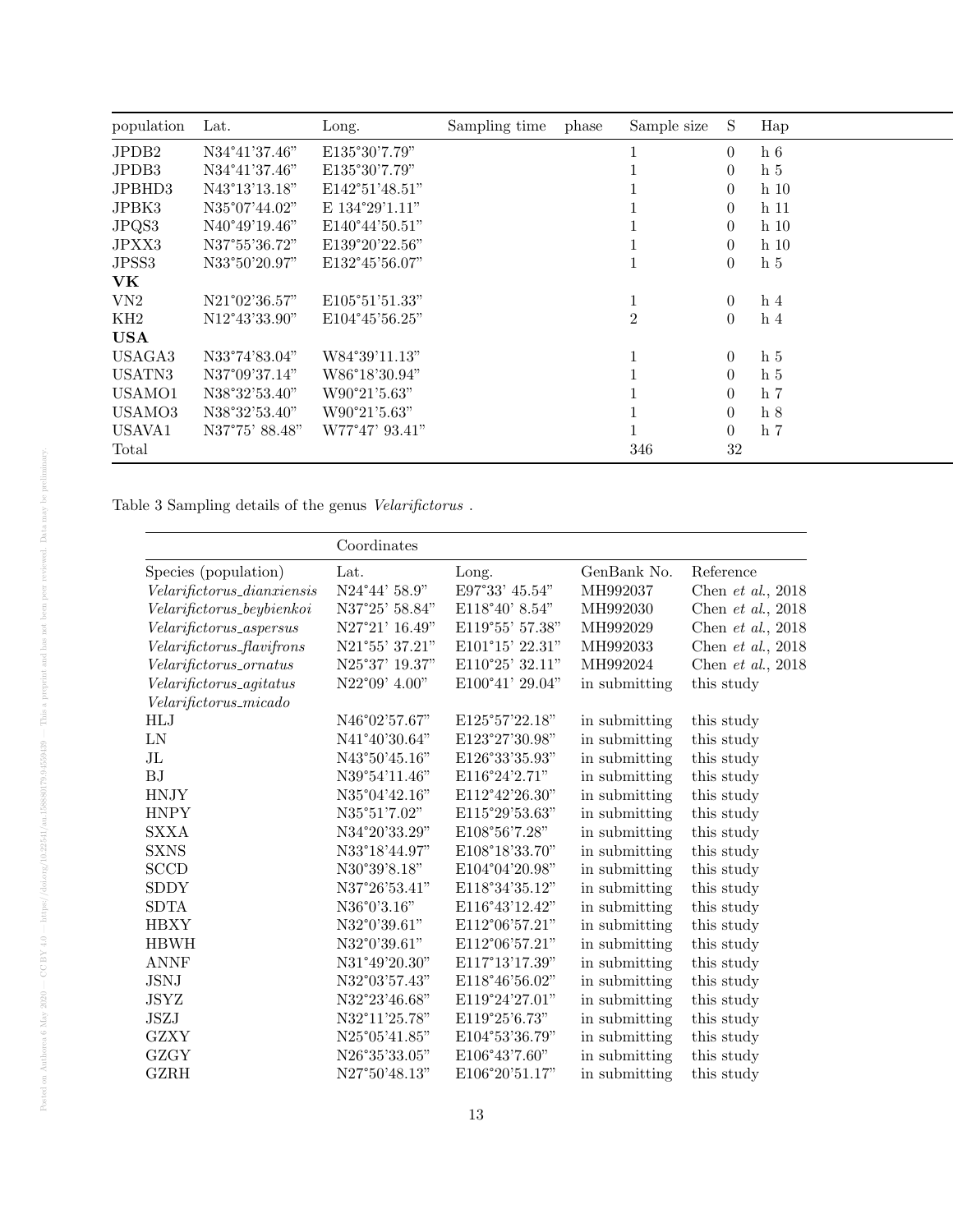| population | Lat.           | Long.                   | Sampling time | phase | Sample size    | S.             | Hap             |
|------------|----------------|-------------------------|---------------|-------|----------------|----------------|-----------------|
| JPDB2      | N34°41'37.46"  | E135°30'7.79"           |               |       |                | $\Omega$       | h <sub>6</sub>  |
| JPDB3      | N34°41'37.46"  | E135°30'7.79"           |               |       |                | $\theta$       | h <sub>5</sub>  |
| JPBHD3     | N43°13'13.18"  | E142°51'48.51"          |               |       |                | $\overline{0}$ | h <sub>10</sub> |
| JPBK3      | N35°07'44.02"  | E 134°29'1.11"          |               |       |                | $\theta$       | h 11            |
| JPQS3      | N40°49'19.46"  | E140°44'50.51"          |               |       |                | $\theta$       | h <sub>10</sub> |
| JPXX3      | N37°55'36.72"  | E139°20'22.56"          |               |       |                | $\overline{0}$ | h <sub>10</sub> |
| JPSS3      | N33°50'20.97"  | E132°45'56.07"          |               |       |                | $\overline{0}$ | h <sub>5</sub>  |
| <b>VK</b>  |                |                         |               |       |                |                |                 |
| VN2        | N21°02'36.57"  | E105°51'51.33"          |               |       |                | $\overline{0}$ | h <sub>4</sub>  |
| KH2        | N12°43'33.90"  | $E104^{\circ}45'56.25"$ |               |       | $\overline{2}$ | $\overline{0}$ | h <sub>4</sub>  |
| <b>USA</b> |                |                         |               |       |                |                |                 |
| USAGA3     | N33°74'83.04"  | W84°39'11.13"           |               |       |                | $\overline{0}$ | h <sub>5</sub>  |
| USATN3     | N37°09'37.14"  | W86°18'30.94"           |               |       |                | $\overline{0}$ | h <sub>5</sub>  |
| USAMO1     | N38°32'53.40"  | W90°21'5.63"            |               |       |                | 0              | h 7             |
| USAMO3     | N38°32'53.40"  | W90°21'5.63"            |               |       |                | $\overline{0}$ | h <sub>8</sub>  |
| USAVA1     | N37°75' 88.48" | W77°47' 93.41"          |               |       |                | $\overline{0}$ | h <sub>7</sub>  |
| Total      |                |                         |               |       | 346            | $32\,$         |                 |

Table 3 Sampling details of the genus  $\it Velarifictorus$  .

|                               | Coordinates            |                  |               |                     |
|-------------------------------|------------------------|------------------|---------------|---------------------|
| Species (population)          | Lat.                   | Long.            | GenBank No.   | Reference           |
| $Velarifictorus\_dianxiensis$ | $N24^{\circ}44'$ 58.9" | E97°33' 45.54"   | MH992037      | Chen et al., $2018$ |
| Velarifictorus_beybienkoi     | N37°25' 58.84"         | $E118°40'$ 8.54" | MH992030      | Chen et al., $2018$ |
| Velarifictorus_aspersus       | N27°21' 16.49"         | E119°55' 57.38"  | MH992029      | Chen et al., $2018$ |
| Velarifictorus_flavifrons     | N21°55' 37.21"         | E101°15' 22.31"  | MH992033      | Chen et al., $2018$ |
| Velarifictorus_ornatus        | N25°37' 19.37"         | E110°25' 32.11"  | MH992024      | Chen et al., $2018$ |
| Velarifictorus_agitatus       | $N22^{\circ}09'$ 4.00" | E100°41' 29.04"  | in submitting | this study          |
| $Velarifictorus_micado$       |                        |                  |               |                     |
| $\operatorname{HLJ}$          | N46°02'57.67"          | E125°57'22.18"   | in submitting | this study          |
| ${\rm LN}$                    | N41°40'30.64"          | E123°27'30.98"   | in submitting | this study          |
| $_{\rm JL}$                   | $N43^{\circ}50'45.16"$ | E126°33'35.93"   | in submitting | this study          |
| BJ                            | N39°54'11.46"          | E116°24'2.71"    | in submitting | this study          |
| <b>HNJY</b>                   | N35°04'42.16"          | E112°42'26.30"   | in submitting | this study          |
| <b>HNPY</b>                   | N35°51'7.02"           | E115°29'53.63"   | in submitting | this study          |
| <b>SXXA</b>                   | N34°20'33.29"          | E108°56'7.28"    | in submitting | this study          |
| <b>SXNS</b>                   | N33°18'44.97"          | E108°18'33.70"   | in submitting | this study          |
| <b>SCCD</b>                   | N30°39'8.18"           | E104°04'20.98"   | in submitting | this study          |
| <b>SDDY</b>                   | N37°26'53.41"          | E118°34'35.12"   | in submitting | this study          |
| <b>SDTA</b>                   | N36°0'3.16"            | E116°43'12.42"   | in submitting | this study          |
| <b>HBXY</b>                   | N32°0'39.61"           | E112°06'57.21"   | in submitting | this study          |
| <b>HBWH</b>                   | N32°0'39.61"           | E112°06'57.21"   | in submitting | this study          |
| <b>ANNF</b>                   | N31°49'20.30"          | E117°13'17.39"   | in submitting | this study          |
| <b>JSNJ</b>                   | N32°03'57.43"          | E118°46'56.02"   | in submitting | this study          |
| <b>JSYZ</b>                   | N32°23'46.68"          | E119°24'27.01"   | in submitting | this study          |
| <b>JSZJ</b>                   | N32°11'25.78"          | E119°25'6.73"    | in submitting | this study          |
| <b>GZXY</b>                   | N25°05'41.85"          | E104°53'36.79"   | in submitting | this study          |
| <b>GZGY</b>                   | N26°35'33.05"          | E106°43'7.60"    | in submitting | this study          |
| <b>GZRH</b>                   | N27°50'48.13"          | E106°20'51.17"   | in submitting | this study          |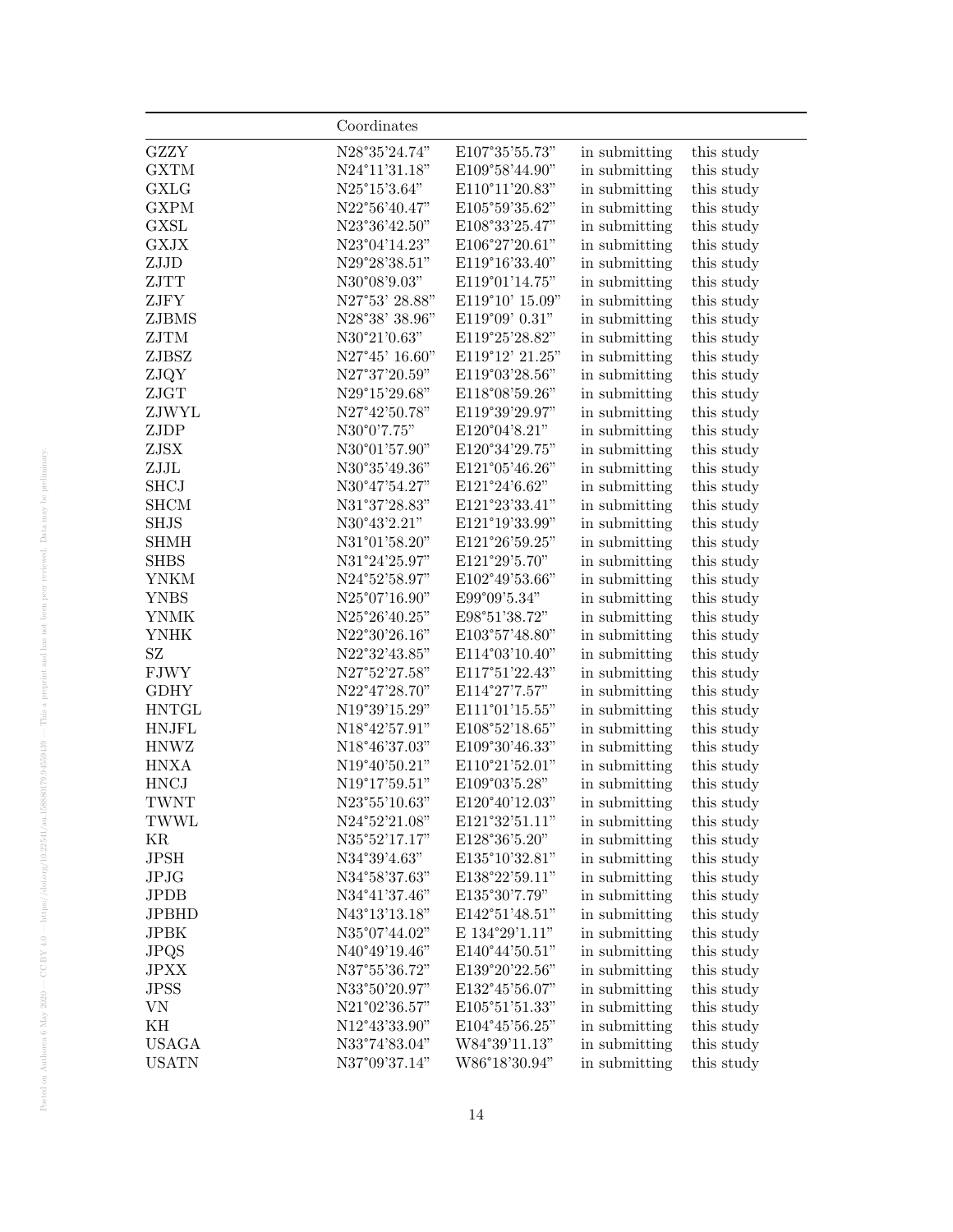|              | Coordinates                    |                                        |               |            |
|--------------|--------------------------------|----------------------------------------|---------------|------------|
| <b>GZZY</b>  | N28°35'24.74"                  | E107°35'55.73"                         | in submitting | this study |
| <b>GXTM</b>  | N24°11'31.18"                  | E109°58'44.90"                         | in submitting | this study |
| <b>GXLG</b>  | N25°15'3.64"                   | E110°11'20.83"                         | in submitting | this study |
| <b>GXPM</b>  | N22°56'40.47"                  | E105°59'35.62"                         | in submitting | this study |
| <b>GXSL</b>  | N23°36'42.50"                  | E108°33'25.47"                         | in submitting | this study |
| <b>GXJX</b>  | N23°04'14.23"                  | E106°27'20.61"                         | in submitting | this study |
| ${\rm ZJJD}$ | N29°28'38.51"                  | E119°16'33.40"                         | in submitting | this study |
| ZJTT         | N30°08'9.03"                   | E119°01'14.75"                         | in submitting | this study |
| ZJFY         | N27°53' 28.88"                 | E119°10' 15.09"                        | in submitting | this study |
| ZJBMS        | N28°38' 38.96"                 | E119°09' 0.31"                         | in submitting | this study |
| ZJTM         | N30°21'0.63"                   | E119°25'28.82"                         | in submitting | this study |
| ZJBSZ        | N27°45' 16.60"                 | E119°12' 21.25"                        | in submitting | this study |
| ZJQY         | N27°37'20.59"                  | E119°03'28.56"                         | in submitting | this study |
| ZJGT         | N29°15'29.68"                  | E118°08'59.26"                         | in submitting | this study |
| ZJWYL        | N27°42'50.78"                  | E119°39'29.97"                         | in submitting | this study |
| ZJDP         | N30°0'7.75"                    | E120°04'8.21"                          | in submitting | this study |
| ZJSX         | N30°01'57.90"                  | E120°34'29.75"                         | in submitting | this study |
| ${\rm ZJJL}$ | N30°35'49.36"                  | E121°05'46.26"                         | in submitting | this study |
| <b>SHCJ</b>  | N30°47'54.27"                  | E121°24'6.62"                          | in submitting | this study |
| <b>SHCM</b>  | N31°37'28.83"                  | E121°23'33.41"                         | in submitting | this study |
| <b>SHJS</b>  | N30°43'2.21"                   | E121°19'33.99"                         | in submitting | this study |
| <b>SHMH</b>  | N31°01'58.20"                  | E121°26'59.25"                         | in submitting | this study |
| <b>SHBS</b>  | N31°24'25.97"                  | E121°29'5.70"                          | in submitting | this study |
| <b>YNKM</b>  | N24°52'58.97"                  | E102°49'53.66"                         | in submitting | this study |
| <b>YNBS</b>  | N25°07'16.90"                  | E99°09'5.34"                           | in submitting | this study |
| <b>YNMK</b>  | N25°26'40.25"                  | E98°51'38.72"                          | in submitting | this study |
| <b>YNHK</b>  | N22°30'26.16"                  | E103°57'48.80"                         | in submitting | this study |
| SZ           | N22°32'43.85"                  | E114°03'10.40"                         | in submitting | this study |
| <b>FJWY</b>  | N27°52'27.58"                  | E117°51'22.43"                         | in submitting | this study |
| <b>GDHY</b>  | N22°47'28.70"                  | E114°27'7.57"                          | in submitting | this study |
| <b>HNTGL</b> | N19°39'15.29"                  | E111°01'15.55"                         | in submitting | this study |
| <b>HNJFL</b> | $N18^{\circ}42^{\prime}57.91"$ | E108°52'18.65"                         | in submitting | this study |
| <b>HNWZ</b>  | N18°46'37.03"                  | $\mathrm{E}109^{\circ}30'46.33"$       | in submitting | this study |
| <b>HNXA</b>  | N19°40'50.21"                  | $\text{E110}^{\circ}21^{\prime}52.01"$ | in submitting | this study |
| <b>HNCJ</b>  | N19°17'59.51"                  | $\text{E109}^{\circ}03^{\prime}5.28"$  | in submitting | this study |
| <b>TWNT</b>  | N23°55'10.63"                  | E120°40'12.03"                         | in submitting | this study |
| I W W L      | N24°52'21.08"                  | E121°32'51.11"                         | in submitting | this study |
| ΚR           | N35°52'17.17"                  | E128°36'5.20"                          | in submitting | this study |
| JPSH         | N34°39'4.63"                   | E135°10'32.81"                         | in submitting | this study |
| JPJG         | N34°58'37.63"                  | E138°22'59.11"                         | in submitting | this study |
| <b>JPDB</b>  | N34°41'37.46"                  | E135°30'7.79"                          | in submitting | this study |
| <b>JPBHD</b> | N43°13'13.18"                  | E142°51'48.51"                         | in submitting | this study |
| <b>JPBK</b>  | N35°07'44.02"                  | E $134^{\circ}29'1.11"$                | in submitting | this study |
| <b>JPQS</b>  | N40°49'19.46"                  | E140°44'50.51"                         | in submitting | this study |
| <b>JPXX</b>  | N37°55'36.72"                  | E139°20'22.56"                         | in submitting | this study |
| <b>JPSS</b>  | N33°50'20.97"                  | E132°45'56.07"                         | in submitting | this study |
| VN           | N21°02'36.57"                  | E105°51'51.33"                         | in submitting | this study |
| ΚH           | N12°43'33.90"                  | E104°45'56.25"                         | in submitting | this study |
| <b>USAGA</b> | N33°74'83.04"                  | W84°39'11.13"                          | in submitting | this study |
| <b>USATN</b> | N37°09'37.14"                  | W86°18'30.94"                          | in submitting | this study |
|              |                                |                                        |               |            |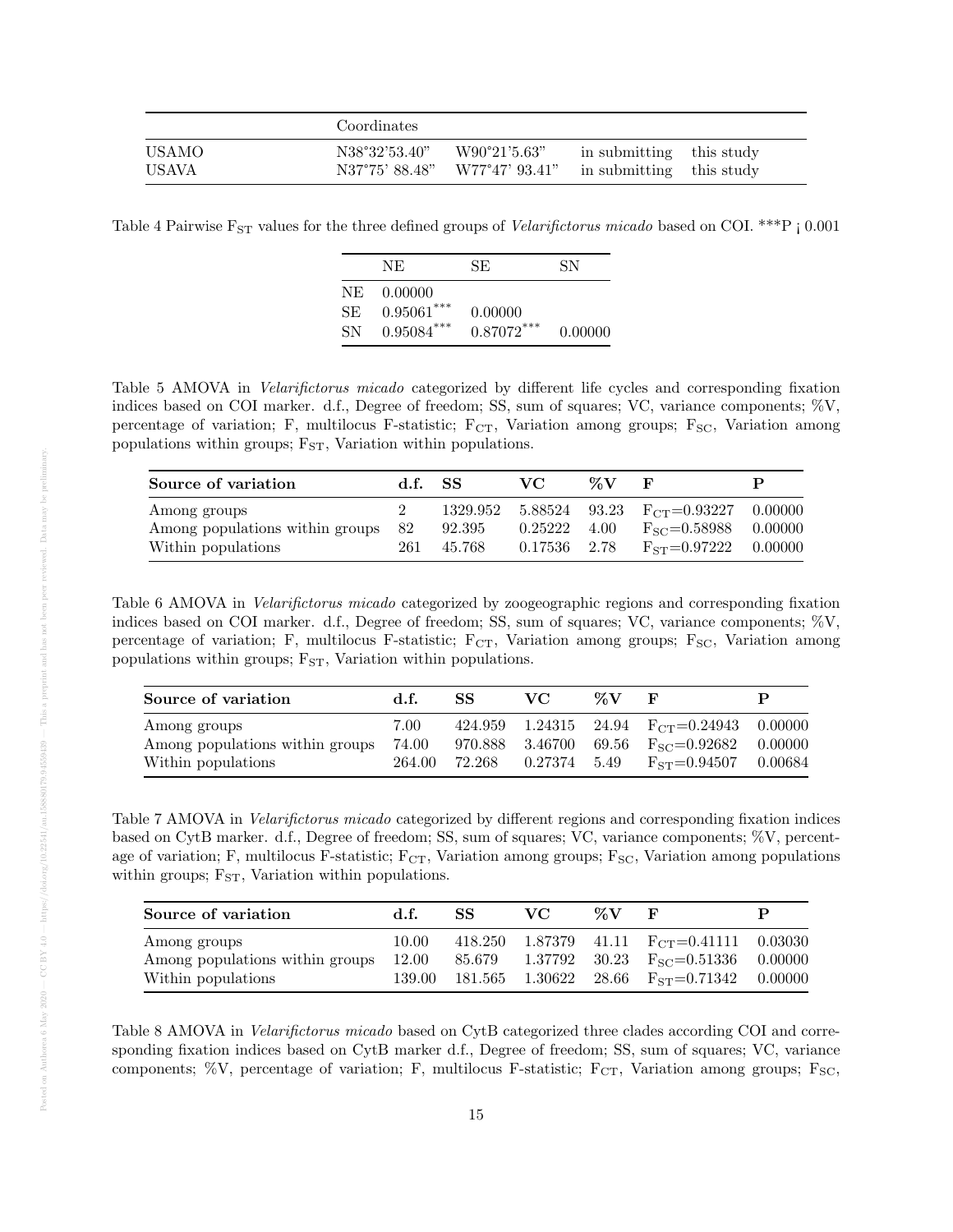|              | Coordinates    |                |                          |  |
|--------------|----------------|----------------|--------------------------|--|
| <b>USAMO</b> | N38°32'53.40"  | W90°21'5.63"   | in submitting this study |  |
| USAVA        | N37°75' 88.48" | W77°47' 93.41" | in submitting this study |  |

Table 4 Pairwise  $F_{ST}$  values for the three defined groups of *Velarifictorus micado* based on COI. \*\*\*P  $\mid$  0.001

|     | NE.          | SE.          | SN      |
|-----|--------------|--------------|---------|
| NE. | 0.00000      |              |         |
| SE. | $0.95061***$ | 0.00000      |         |
| SN. | $0.95084***$ | $0.87072***$ | 0.00000 |

Table 5 AMOVA in Velarifictorus micado categorized by different life cycles and corresponding fixation indices based on COI marker. d.f., Degree of freedom; SS, sum of squares; VC, variance components; %V, percentage of variation; F, multilocus F-statistic; F<sub>CT</sub>, Variation among groups; F<sub>SC</sub>, Variation among populations within groups;  $F_{ST}$ , Variation within populations.

| Source of variation             | d.f. SS |        | VC.                  | $\%V$ |                                                   |  |
|---------------------------------|---------|--------|----------------------|-------|---------------------------------------------------|--|
| Among groups                    |         |        |                      |       | 1329.952 5.88524 93.23 $F_{CT} = 0.93227$ 0.00000 |  |
| Among populations within groups | 82      | 92.395 | $0.25222 \quad 4.00$ |       | $F_{SC} = 0.58988$ 0.00000                        |  |
| Within populations              | 261     | 45.768 | 0.17536 2.78         |       | $F_{ST} = 0.97222$ 0.00000                        |  |

Table 6 AMOVA in Velarifictorus micado categorized by zoogeographic regions and corresponding fixation indices based on COI marker. d.f., Degree of freedom; SS, sum of squares; VC, variance components; %V, percentage of variation; F, multilocus F-statistic; F<sub>CT</sub>, Variation among groups; F<sub>SC</sub>, Variation among populations within groups;  $F_{ST}$ , Variation within populations.

| Source of variation                                                   | d.f.          | SS | VC.                        | %V |                                                                                                                                    | Р |
|-----------------------------------------------------------------------|---------------|----|----------------------------|----|------------------------------------------------------------------------------------------------------------------------------------|---|
| Among groups<br>Among populations within groups<br>Within populations | 7.00<br>74.00 |    | 264.00 72.268 0.27374 5.49 |    | 424.959 1.24315 24.94 $F_{CT} = 0.24943$ 0.00000<br>970.888 3.46700 69.56 $F_{SC} = 0.92682$ 0.00000<br>$F_{ST} = 0.94507$ 0.00684 |   |

Table 7 AMOVA in Velarifictorus micado categorized by different regions and corresponding fixation indices based on CytB marker. d.f., Degree of freedom; SS, sum of squares; VC, variance components; %V, percentage of variation; F, multilocus F-statistic;  $F_{CT}$ , Variation among groups;  $F_{SC}$ , Variation among populations within groups;  $F_{ST}$ , Variation within populations.

| Source of variation                                   | d.f.  | SS.    | VC. | $\%V$ | н,                                                                                                 | P |
|-------------------------------------------------------|-------|--------|-----|-------|----------------------------------------------------------------------------------------------------|---|
| Among groups<br>Among populations within groups 12.00 | 10.00 | 85.679 |     |       | 418.250 1.87379 41.11 $F_{CT} = 0.41111$ 0.03030<br>$1.37792$ $30.23$ $F_{SC} = 0.51336$ $0.00000$ |   |
| Within populations                                    |       |        |     |       | 139.00 181.565 1.30622 28.66 $F_{ST} = 0.71342$ 0.00000                                            |   |

Table 8 AMOVA in *Velarifictorus micado* based on CytB categorized three clades according COI and corresponding fixation indices based on CytB marker d.f., Degree of freedom; SS, sum of squares; VC, variance components; %V, percentage of variation; F, multilocus F-statistic;  $F_{CT}$ , Variation among groups;  $F_{SC}$ ,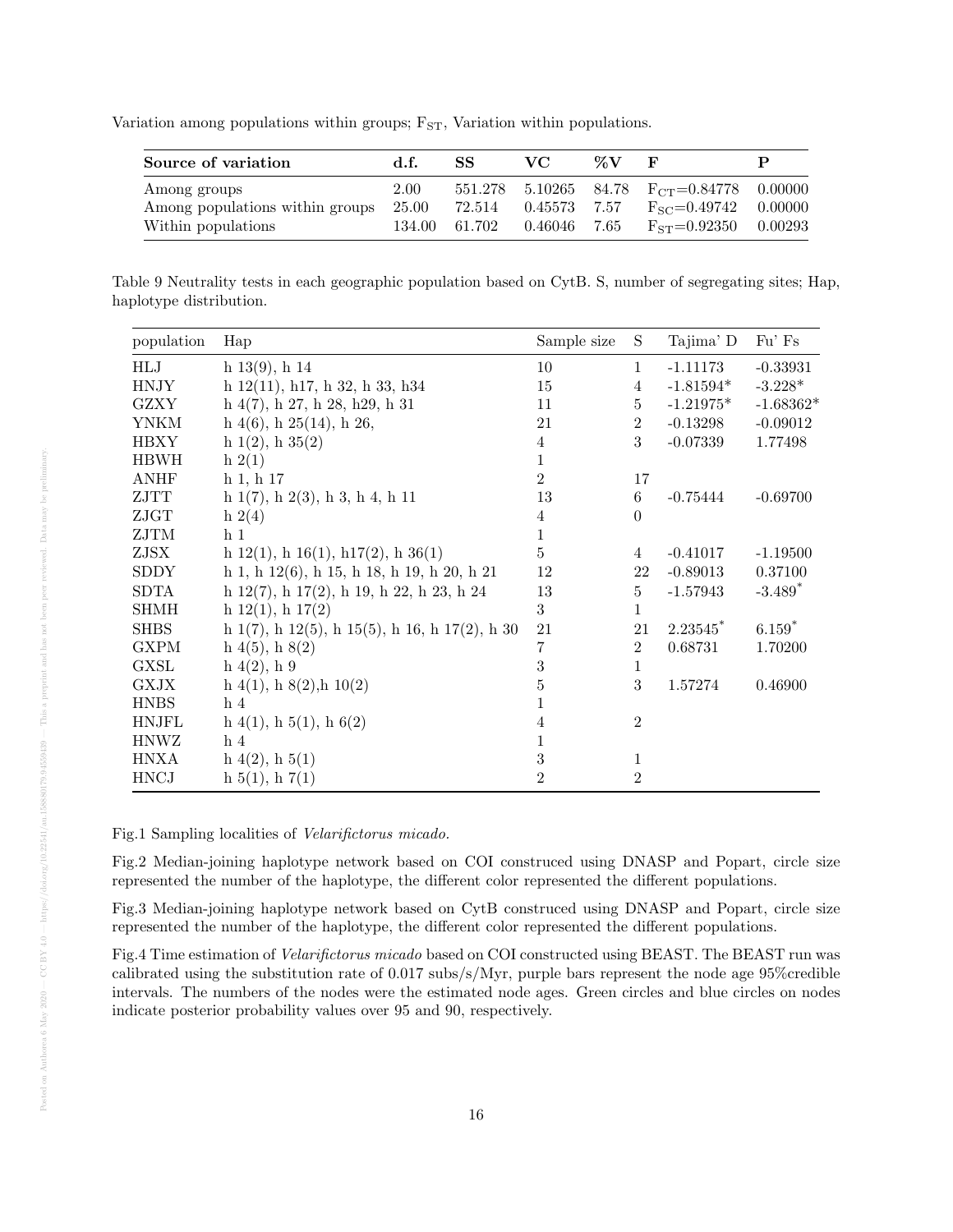Variation among populations within groups;  $F_{ST}$ , Variation within populations.

| Source of variation                                                   | d.f.              | SS.                     | VC.                          | $\mathbb{Z}$ V | F                                                                                                                  |  |
|-----------------------------------------------------------------------|-------------------|-------------------------|------------------------------|----------------|--------------------------------------------------------------------------------------------------------------------|--|
| Among groups<br>Among populations within groups<br>Within populations | $2.00\,$<br>25.00 | 72.514<br>134.00 61.702 | 0.45573 7.57<br>0.46046 7.65 |                | 551.278 5.10265 84.78 F <sub>CT</sub> =0.84778 0.00000<br>$F_{SC} = 0.49742$ 0.00000<br>$F_{ST} = 0.92350$ 0.00293 |  |

Table 9 Neutrality tests in each geographic population based on CytB. S, number of segregating sites; Hap, haplotype distribution.

| population   | Hap                                                            | Sample size    | S               | Tajima' D              | Fu' Fs      |
|--------------|----------------------------------------------------------------|----------------|-----------------|------------------------|-------------|
| HLJ          | $h\ 13(9), h\ 14$                                              | 10             | $\mathbf{1}$    | $-1.11173$             | $-0.33931$  |
| <b>HNJY</b>  | h $12(11)$ , h17, h 32, h 33, h34                              | 15             | $\overline{4}$  | $-1.81594*$            | $-3.228*$   |
| <b>GZXY</b>  | $h\ 4(7), h\ 27, h\ 28, h29, h\ 31$                            | 11             | $5\overline{)}$ | $-1.21975*$            | $-1.68362*$ |
| <b>YNKM</b>  | $h\ 4(6)$ , $h\ 25(14)$ , $h\ 26$ ,                            | 21             | $\overline{2}$  | $-0.13298$             | $-0.09012$  |
| <b>HBXY</b>  | h $1(2)$ , h $35(2)$                                           | 4              | 3               | $-0.07339$             | 1.77498     |
| <b>HBWH</b>  | $h\ 2(1)$                                                      | 1              |                 |                        |             |
| <b>ANHF</b>  | h 1, h 17                                                      | $\overline{2}$ | 17              |                        |             |
| ZJTT         | $h\ 1(7), h\ 2(3), h\ 3, h\ 4, h\ 11$                          | 13             | 6               | $-0.75444$             | $-0.69700$  |
| ZJGT         | h $2(4)$                                                       | 4              | $\overline{0}$  |                        |             |
| ${\rm ZJTM}$ | h <sub>1</sub>                                                 | 1              |                 |                        |             |
| ZJSX         | h $12(1)$ , h $16(1)$ , h $17(2)$ , h $36(1)$                  | 5              | 4               | $-0.41017$             | $-1.19500$  |
| <b>SDDY</b>  | $h 1, h 12(6), h 15, h 18, h 19, h 20, h 21$                   | 12             | 22              | $-0.89013$             | 0.37100     |
| SDTA         | h $12(7)$ , h $17(2)$ , h $19$ , h $22$ , h $23$ , h $24$      | 13             | $5\phantom{.0}$ | $-1.57943$             | $-3.489*$   |
| <b>SHMH</b>  | h $12(1)$ , h $17(2)$                                          | 3              | $\mathbf{1}$    |                        |             |
| <b>SHBS</b>  | h $1(7)$ , h $12(5)$ , h $15(5)$ , h $16$ , h $17(2)$ , h $30$ | 21             | 21              | $2.23545$ <sup>*</sup> | $6.159*$    |
| <b>GXPM</b>  | $h\ 4(5), h\ 8(2)$                                             | 7              | $\overline{2}$  | 0.68731                | 1.70200     |
| <b>GXSL</b>  | h(4(2), h(9))                                                  | 3              | $\mathbf{1}$    |                        |             |
| <b>GXJX</b>  | $h\ 4(1), h\ 8(2), h\ 10(2)$                                   | 5              | 3               | 1.57274                | 0.46900     |
| <b>HNBS</b>  | h <sub>4</sub>                                                 | 1              |                 |                        |             |
| <b>HNJFL</b> | $h\ 4(1), h\ 5(1), h\ 6(2)$                                    | 4              | $\overline{2}$  |                        |             |
| <b>HNWZ</b>  | h <sub>4</sub>                                                 | 1              |                 |                        |             |
| <b>HNXA</b>  | $h\ 4(2), h\ 5(1)$                                             | $\sqrt{3}$     | 1               |                        |             |
| <b>HNCJ</b>  | $h\ 5(1),\ h\ 7(1)$                                            | $\overline{2}$ | $\overline{2}$  |                        |             |

Fig.1 Sampling localities of Velarifictorus micado.

Fig.2 Median-joining haplotype network based on COI construced using DNASP and Popart, circle size represented the number of the haplotype, the different color represented the different populations.

Fig.3 Median-joining haplotype network based on CytB construced using DNASP and Popart, circle size represented the number of the haplotype, the different color represented the different populations.

Fig.4 Time estimation of Velarifictorus micado based on COI constructed using BEAST. The BEAST run was calibrated using the substitution rate of 0.017 subs/s/Myr, purple bars represent the node age 95%credible intervals. The numbers of the nodes were the estimated node ages. Green circles and blue circles on nodes indicate posterior probability values over 95 and 90, respectively.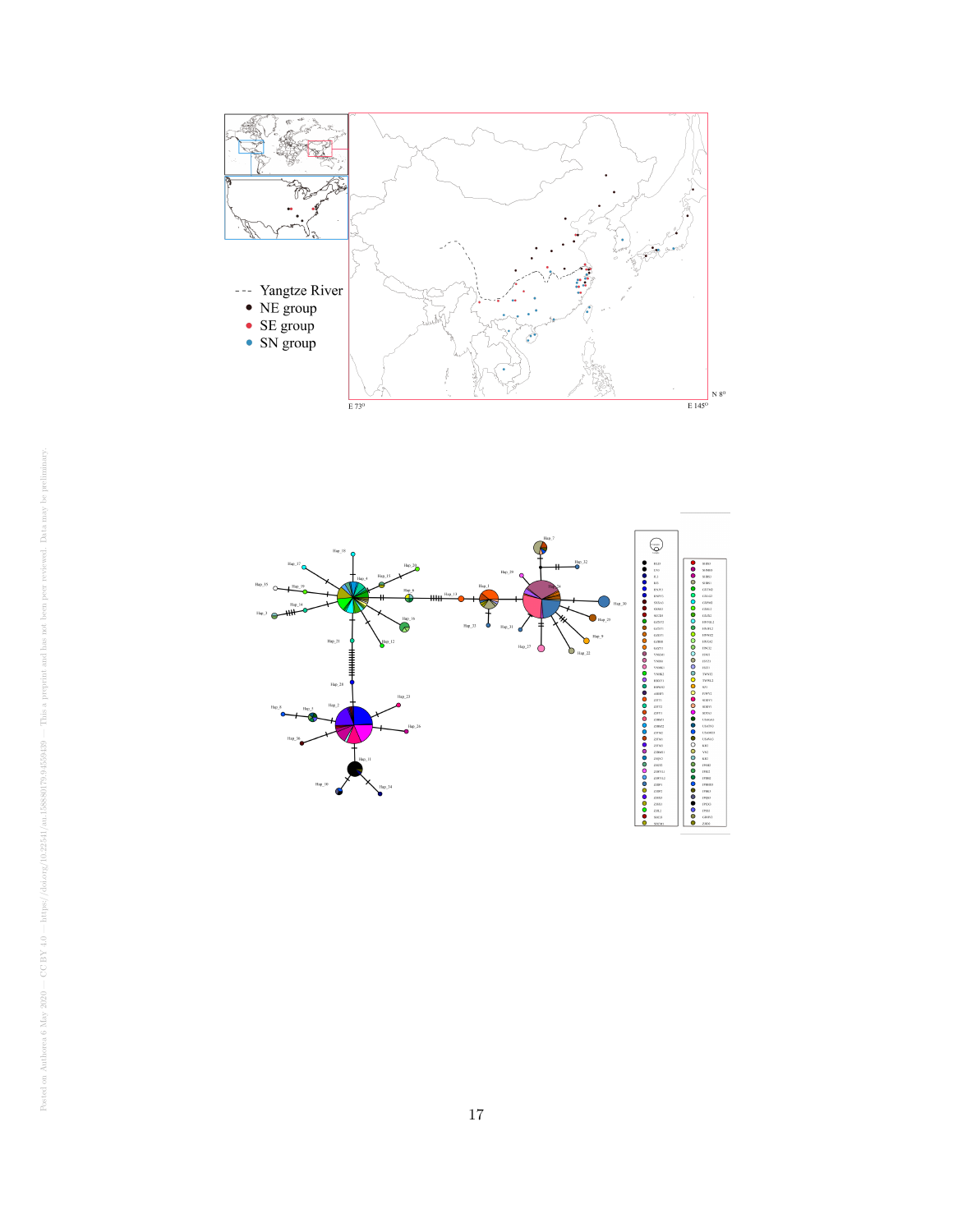